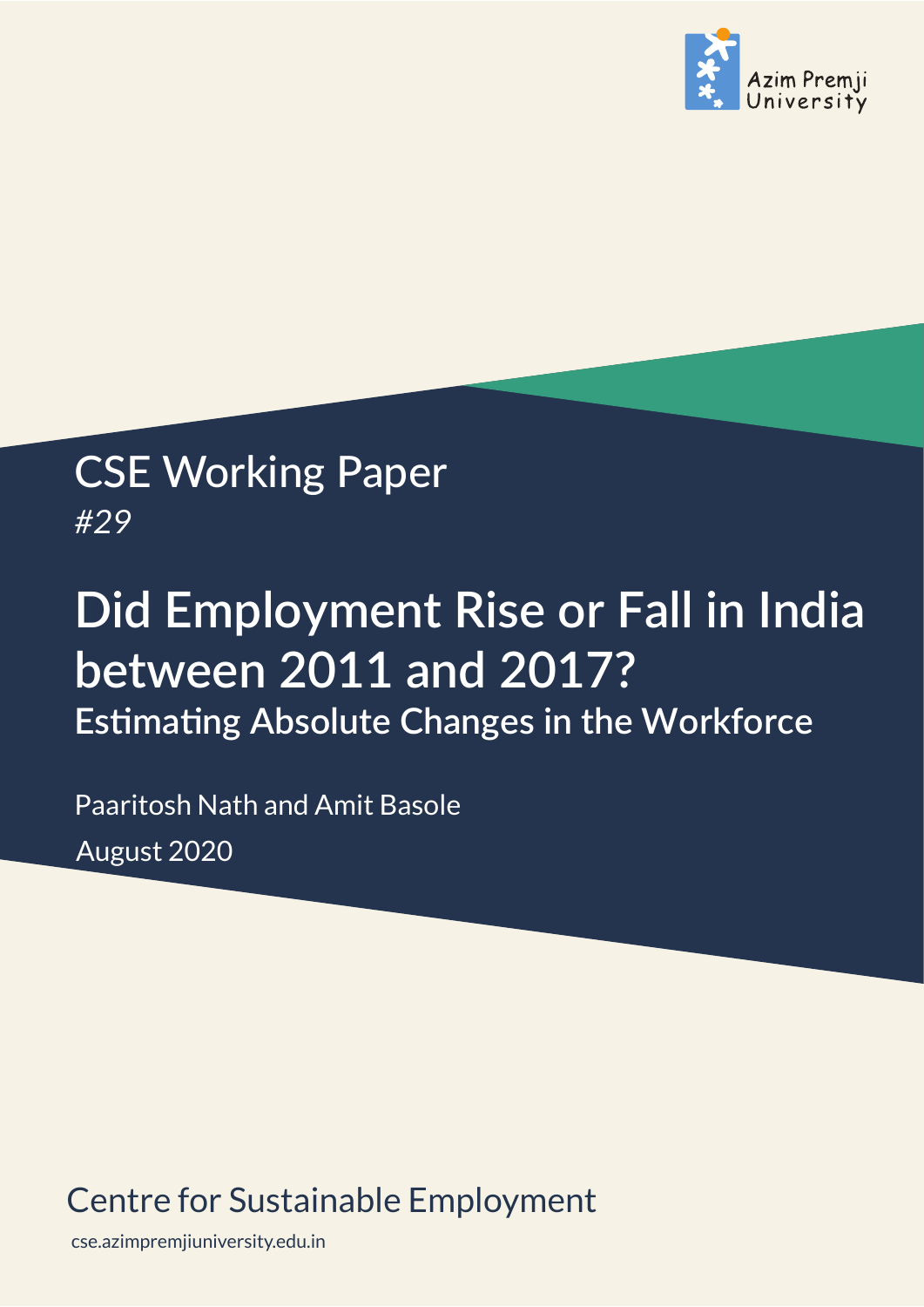

## CSE Working Paper *#29*

# **Did Employment Rise or Fall in India between 2011 and 2017? Estimating Absolute Changes in the Workforce**

Paaritosh Nath and Amit Basole August 2020

## Centre for Sustainable Employment

cse.azimpremjiuniversity.edu.in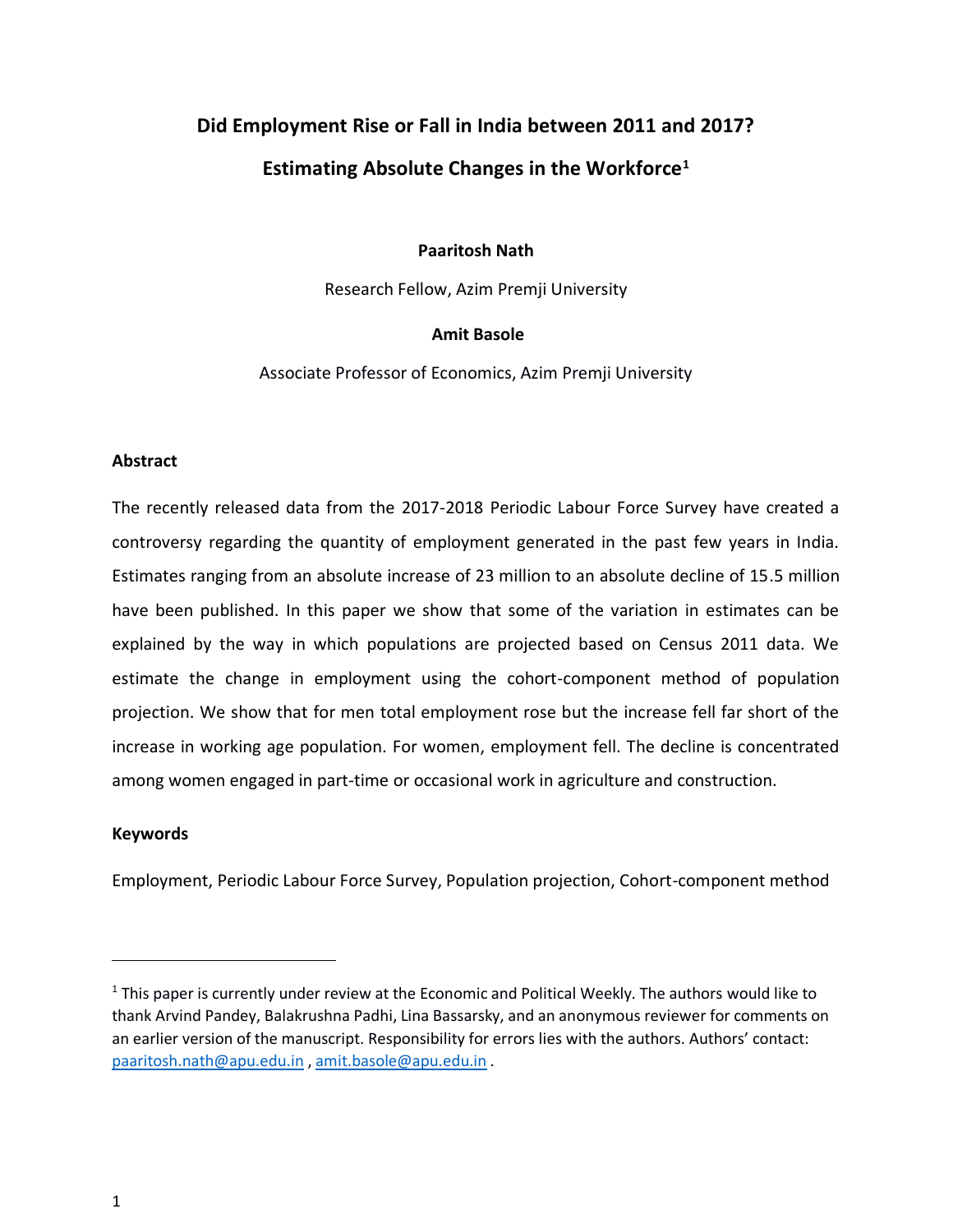## **Did Employment Rise or Fall in India between 2011 and 2017? Estimating Absolute Changes in the Workforce<sup>1</sup>**

#### **Paaritosh Nath**

Research Fellow, Azim Premji University

#### **Amit Basole**

Associate Professor of Economics, Azim Premji University

#### **Abstract**

The recently released data from the 2017-2018 Periodic Labour Force Survey have created a controversy regarding the quantity of employment generated in the past few years in India. Estimates ranging from an absolute increase of 23 million to an absolute decline of 15.5 million have been published. In this paper we show that some of the variation in estimates can be explained by the way in which populations are projected based on Census 2011 data. We estimate the change in employment using the cohort-component method of population projection. We show that for men total employment rose but the increase fell far short of the increase in working age population. For women, employment fell. The decline is concentrated among women engaged in part-time or occasional work in agriculture and construction.

#### **Keywords**

Employment, Periodic Labour Force Survey, Population projection, Cohort-component method

 $<sup>1</sup>$  This paper is currently under review at the Economic and Political Weekly. The authors would like to</sup> thank Arvind Pandey, Balakrushna Padhi, Lina Bassarsky, and an anonymous reviewer for comments on an earlier version of the manuscript. Responsibility for errors lies with the authors. Authors' contact: [paaritosh.nath@apu.edu.in](mailto:paaritosh.nath@apu.edu.in) , [amit.basole@apu.edu.in](mailto:amit.basole@apu.edu.in) .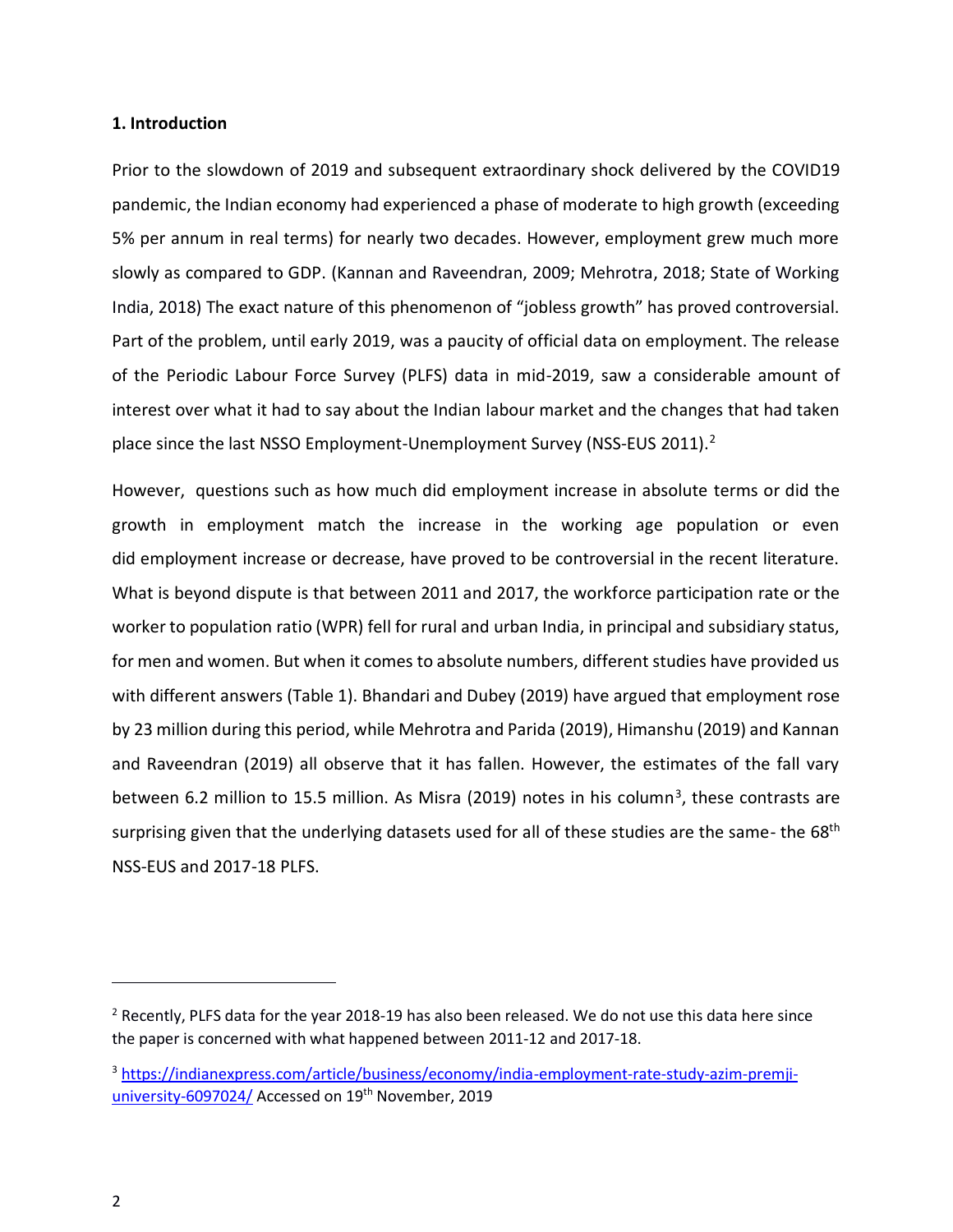#### **1. Introduction**

Prior to the slowdown of 2019 and subsequent extraordinary shock delivered by the COVID19 pandemic, the Indian economy had experienced a phase of moderate to high growth (exceeding 5% per annum in real terms) for nearly two decades. However, employment grew much more slowly as compared to GDP. (Kannan and Raveendran, 2009; Mehrotra, 2018; State of Working India, 2018) The exact nature of this phenomenon of "jobless growth" has proved controversial. Part of the problem, until early 2019, was a paucity of official data on employment. The release of the Periodic Labour Force Survey (PLFS) data in mid-2019, saw a considerable amount of interest over what it had to say about the Indian labour market and the changes that had taken place since the last NSSO Employment-Unemployment Survey (NSS-EUS 2011).<sup>2</sup>

However, questions such as how much did employment increase in absolute terms or did the growth in employment match the increase in the working age population or even did employment increase or decrease, have proved to be controversial in the recent literature. What is beyond dispute is that between 2011 and 2017, the workforce participation rate or the worker to population ratio (WPR) fell for rural and urban India, in principal and subsidiary status, for men and women. But when it comes to absolute numbers, different studies have provided us with different answers (Table 1). Bhandari and Dubey (2019) have argued that employment rose by 23 million during this period, while Mehrotra and Parida (2019), Himanshu (2019) and Kannan and Raveendran (2019) all observe that it has fallen. However, the estimates of the fall vary between 6.2 million to 15.5 million. As Misra (2019) notes in his column<sup>3</sup>, these contrasts are surprising given that the underlying datasets used for all of these studies are the same- the 68<sup>th</sup> NSS-EUS and 2017-18 PLFS.

 $<sup>2</sup>$  Recently, PLFS data for the year 2018-19 has also been released. We do not use this data here since</sup> the paper is concerned with what happened between 2011-12 and 2017-18.

<sup>3</sup> [https://indianexpress.com/article/business/economy/india-employment-rate-study-azim-premji](https://indianexpress.com/article/business/economy/india-employment-rate-study-azim-premji-university-6097024/)[university-6097024/](https://indianexpress.com/article/business/economy/india-employment-rate-study-azim-premji-university-6097024/) Accessed on 19<sup>th</sup> November, 2019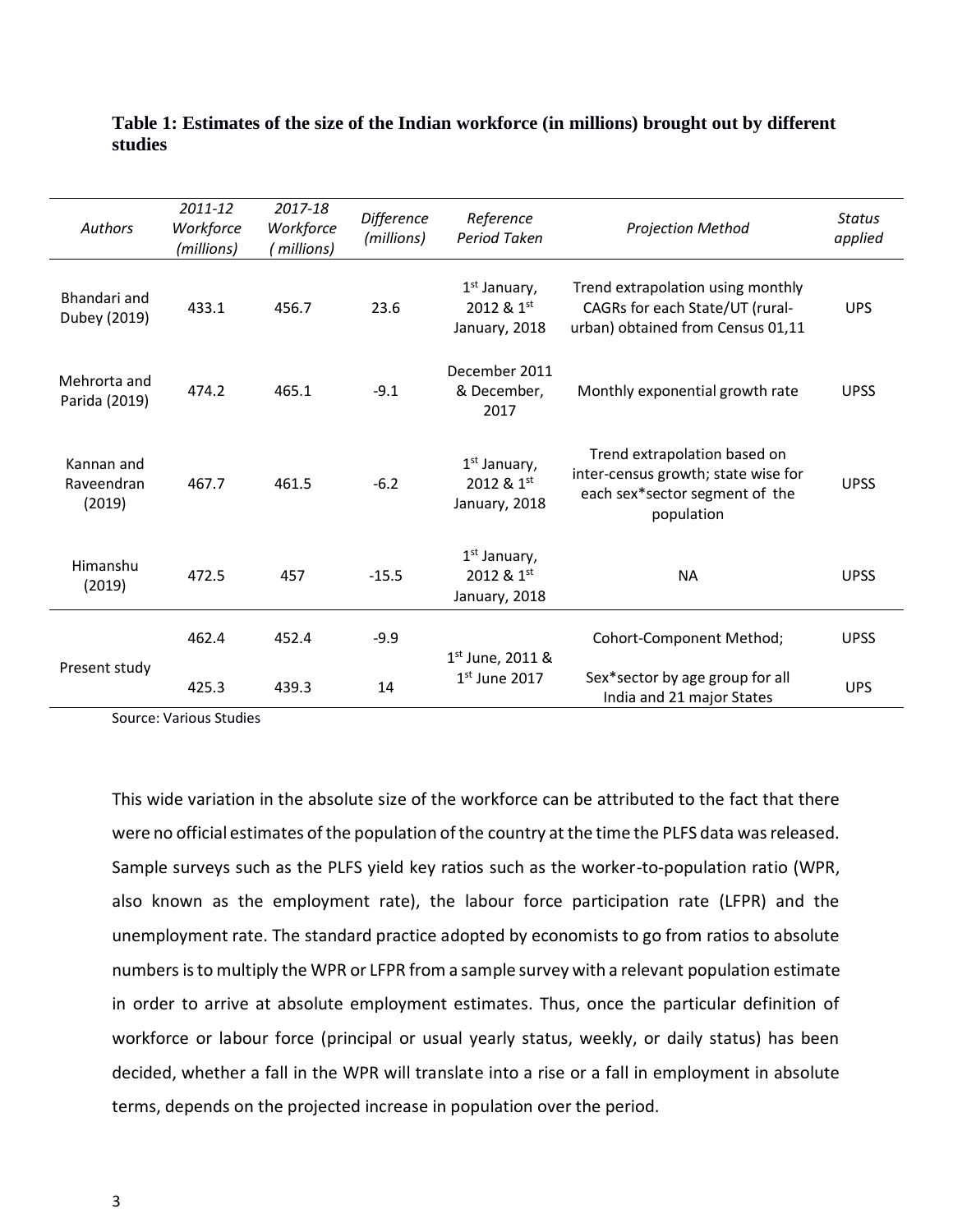| <b>Authors</b>                     | 2011-12<br>Workforce<br>(millions) | 2017-18<br>Workforce<br>(millions) | Difference<br>(millions) | Reference<br>Period Taken                               | <b>Projection Method</b>                                                                                            | <b>Status</b><br>applied |
|------------------------------------|------------------------------------|------------------------------------|--------------------------|---------------------------------------------------------|---------------------------------------------------------------------------------------------------------------------|--------------------------|
| Bhandari and<br>Dubey (2019)       | 433.1                              | 456.7                              | 23.6                     | $1st$ January,<br>2012 & 1st<br>January, 2018           | Trend extrapolation using monthly<br>CAGRs for each State/UT (rural-<br>urban) obtained from Census 01,11           | <b>UPS</b>               |
| Mehrorta and<br>Parida (2019)      | 474.2                              | 465.1                              | $-9.1$                   | December 2011<br>& December,<br>2017                    | Monthly exponential growth rate                                                                                     | <b>UPSS</b>              |
| Kannan and<br>Raveendran<br>(2019) | 467.7                              | 461.5                              | $-6.2$                   | 1 <sup>st</sup> January,<br>2012 & 1st<br>January, 2018 | Trend extrapolation based on<br>inter-census growth; state wise for<br>each sex*sector segment of the<br>population | <b>UPSS</b>              |
| Himanshu<br>(2019)                 | 472.5                              | 457                                | $-15.5$                  | 1 <sup>st</sup> January,<br>2012 & 1st<br>January, 2018 | <b>NA</b>                                                                                                           | <b>UPSS</b>              |
|                                    | 462.4                              | 452.4                              | $-9.9$                   |                                                         | Cohort-Component Method;                                                                                            | <b>UPSS</b>              |
| Present study                      | 425.3                              | 439.3                              | 14                       | $1^{st}$ June, 2011 &<br>$1st$ June 2017                | Sex*sector by age group for all<br>India and 21 major States                                                        | <b>UPS</b>               |

#### **Table 1: Estimates of the size of the Indian workforce (in millions) brought out by different studies**

Source: Various Studies

This wide variation in the absolute size of the workforce can be attributed to the fact that there were no official estimates of the population of the country at the time the PLFS data was released. Sample surveys such as the PLFS yield key ratios such as the worker-to-population ratio (WPR, also known as the employment rate), the labour force participation rate (LFPR) and the unemployment rate. The standard practice adopted by economists to go from ratios to absolute numbers is to multiply the WPR or LFPR from a sample survey with a relevant population estimate in order to arrive at absolute employment estimates. Thus, once the particular definition of workforce or labour force (principal or usual yearly status, weekly, or daily status) has been decided, whether a fall in the WPR will translate into a rise or a fall in employment in absolute terms, depends on the projected increase in population over the period.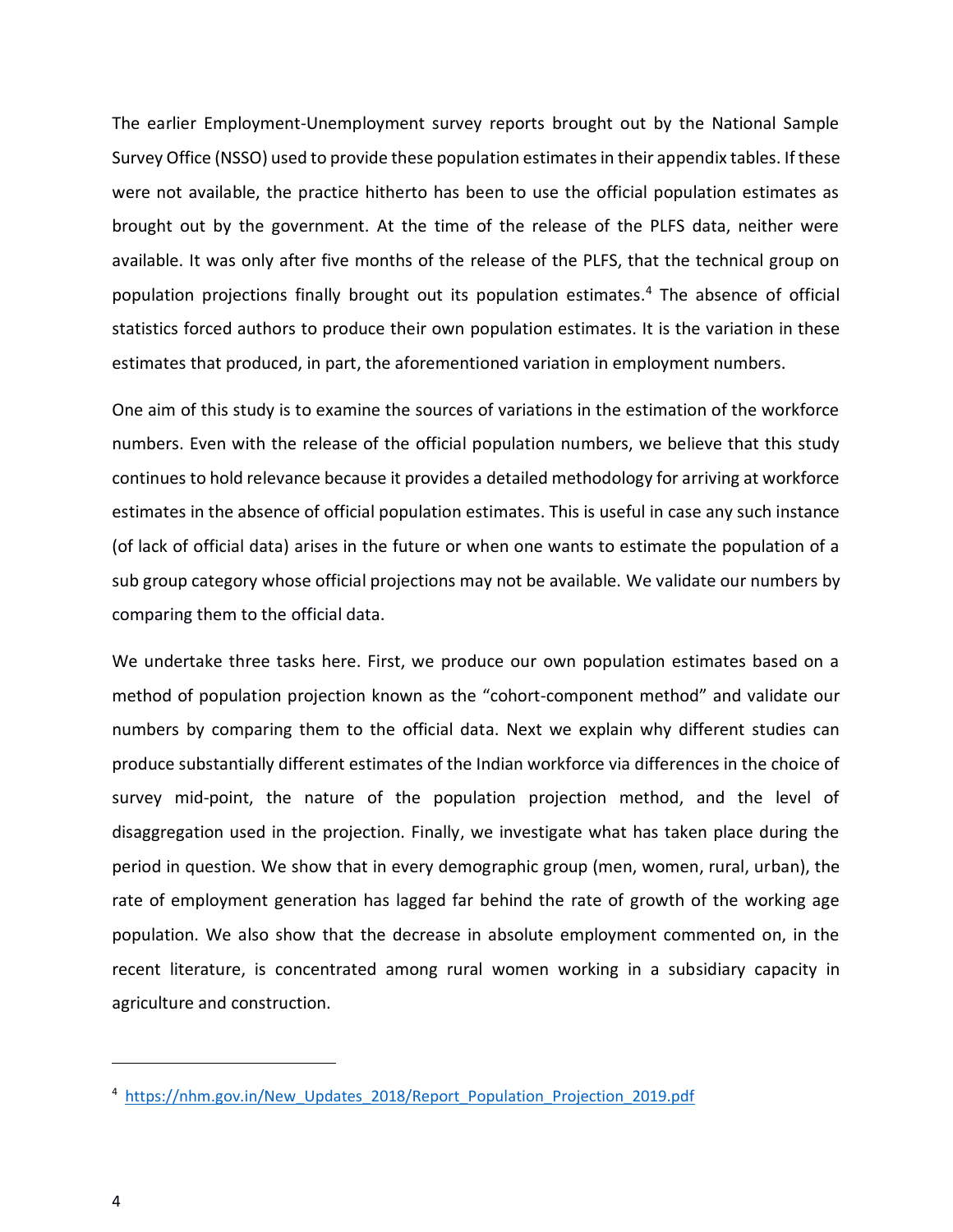The earlier Employment-Unemployment survey reports brought out by the National Sample Survey Office (NSSO) used to provide these population estimates in their appendix tables. If these were not available, the practice hitherto has been to use the official population estimates as brought out by the government. At the time of the release of the PLFS data, neither were available. It was only after five months of the release of the PLFS, that the technical group on population projections finally brought out its population estimates.<sup>4</sup> The absence of official statistics forced authors to produce their own population estimates. It is the variation in these estimates that produced, in part, the aforementioned variation in employment numbers.

One aim of this study is to examine the sources of variations in the estimation of the workforce numbers. Even with the release of the official population numbers, we believe that this study continues to hold relevance because it provides a detailed methodology for arriving at workforce estimates in the absence of official population estimates. This is useful in case any such instance (of lack of official data) arises in the future or when one wants to estimate the population of a sub group category whose official projections may not be available. We validate our numbers by comparing them to the official data.

We undertake three tasks here. First, we produce our own population estimates based on a method of population projection known as the "cohort-component method" and validate our numbers by comparing them to the official data. Next we explain why different studies can produce substantially different estimates of the Indian workforce via differences in the choice of survey mid-point, the nature of the population projection method, and the level of disaggregation used in the projection. Finally, we investigate what has taken place during the period in question. We show that in every demographic group (men, women, rural, urban), the rate of employment generation has lagged far behind the rate of growth of the working age population. We also show that the decrease in absolute employment commented on, in the recent literature, is concentrated among rural women working in a subsidiary capacity in agriculture and construction.

<sup>&</sup>lt;sup>4</sup> [https://nhm.gov.in/New\\_Updates\\_2018/Report\\_Population\\_Projection\\_2019.pdf](https://nhm.gov.in/New_Updates_2018/Report_Population_Projection_2019.pdf)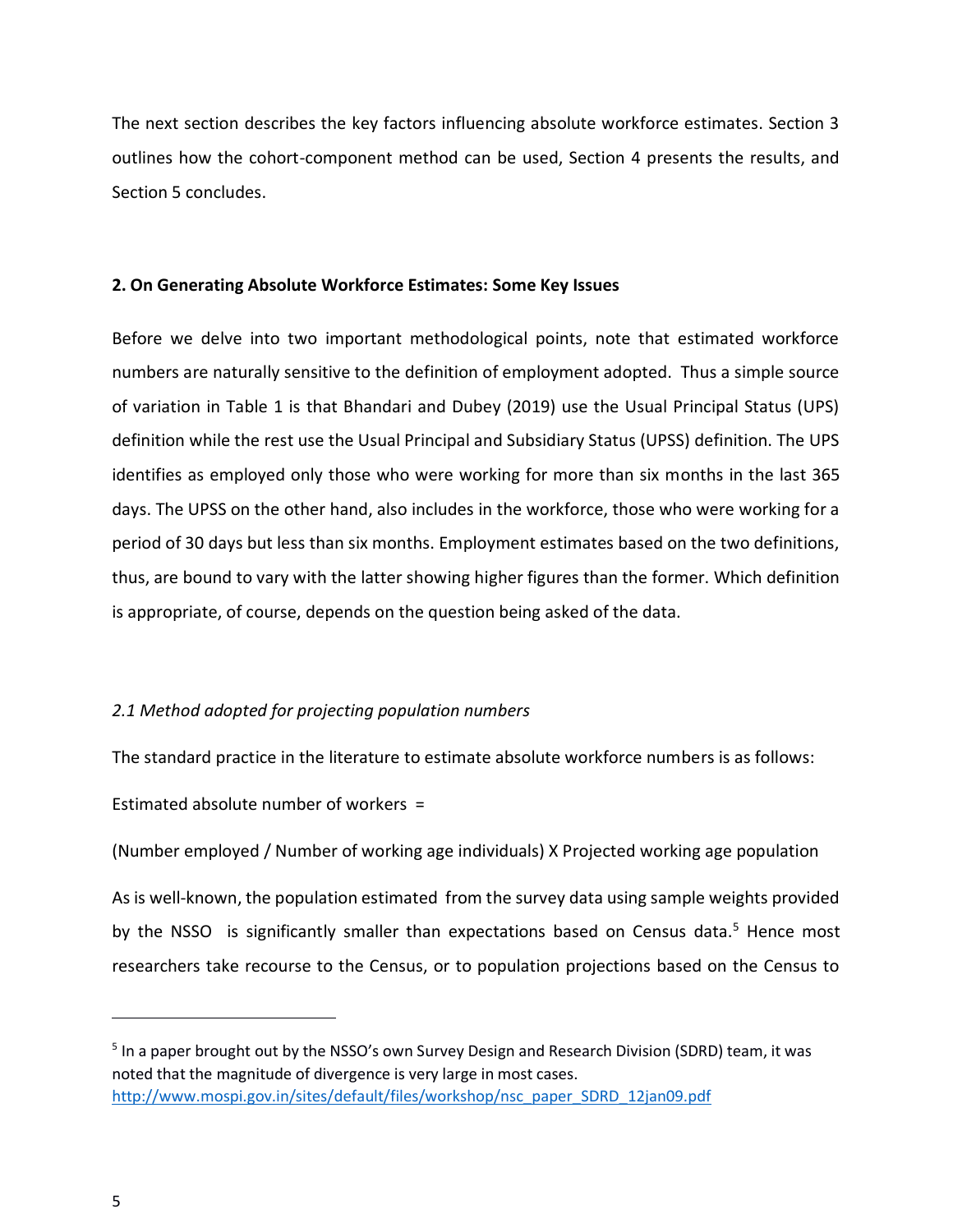The next section describes the key factors influencing absolute workforce estimates. Section 3 outlines how the cohort-component method can be used, Section 4 presents the results, and Section 5 concludes.

#### **2. On Generating Absolute Workforce Estimates: Some Key Issues**

Before we delve into two important methodological points, note that estimated workforce numbers are naturally sensitive to the definition of employment adopted. Thus a simple source of variation in Table 1 is that Bhandari and Dubey (2019) use the Usual Principal Status (UPS) definition while the rest use the Usual Principal and Subsidiary Status (UPSS) definition. The UPS identifies as employed only those who were working for more than six months in the last 365 days. The UPSS on the other hand, also includes in the workforce, those who were working for a period of 30 days but less than six months. Employment estimates based on the two definitions, thus, are bound to vary with the latter showing higher figures than the former. Which definition is appropriate, of course, depends on the question being asked of the data.

#### *2.1 Method adopted for projecting population numbers*

The standard practice in the literature to estimate absolute workforce numbers is as follows:

Estimated absolute number of workers =

(Number employed / Number of working age individuals) X Projected working age population

As is well-known, the population estimated from the survey data using sample weights provided by the NSSO is significantly smaller than expectations based on Census data.<sup>5</sup> Hence most researchers take recourse to the Census, or to population projections based on the Census to

<sup>&</sup>lt;sup>5</sup> In a paper brought out by the NSSO's own Survey Design and Research Division (SDRD) team, it was noted that the magnitude of divergence is very large in most cases. [http://www.mospi.gov.in/sites/default/files/workshop/nsc\\_paper\\_SDRD\\_12jan09.pdf](http://www.mospi.gov.in/sites/default/files/workshop/nsc_paper_SDRD_12jan09.pdf)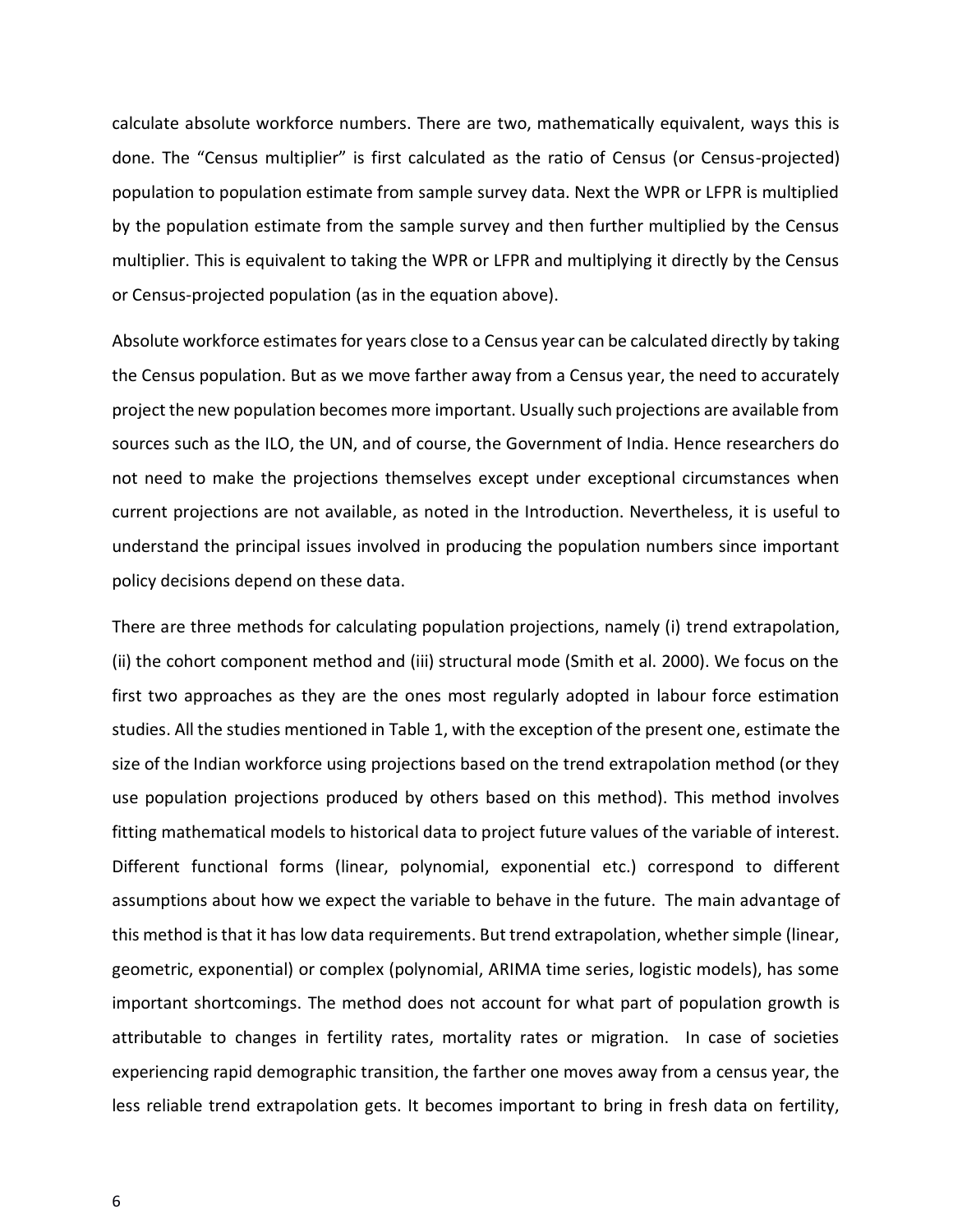calculate absolute workforce numbers. There are two, mathematically equivalent, ways this is done. The "Census multiplier" is first calculated as the ratio of Census (or Census-projected) population to population estimate from sample survey data. Next the WPR or LFPR is multiplied by the population estimate from the sample survey and then further multiplied by the Census multiplier. This is equivalent to taking the WPR or LFPR and multiplying it directly by the Census or Census-projected population (as in the equation above).

Absolute workforce estimates for years close to a Census year can be calculated directly by taking the Census population. But as we move farther away from a Census year, the need to accurately project the new population becomes more important. Usually such projections are available from sources such as the ILO, the UN, and of course, the Government of India. Hence researchers do not need to make the projections themselves except under exceptional circumstances when current projections are not available, as noted in the Introduction. Nevertheless, it is useful to understand the principal issues involved in producing the population numbers since important policy decisions depend on these data.

There are three methods for calculating population projections, namely (i) trend extrapolation, (ii) the cohort component method and (iii) structural mode (Smith et al. 2000). We focus on the first two approaches as they are the ones most regularly adopted in labour force estimation studies. All the studies mentioned in Table 1, with the exception of the present one, estimate the size of the Indian workforce using projections based on the trend extrapolation method (or they use population projections produced by others based on this method). This method involves fitting mathematical models to historical data to project future values of the variable of interest. Different functional forms (linear, polynomial, exponential etc.) correspond to different assumptions about how we expect the variable to behave in the future. The main advantage of this method is that it has low data requirements. But trend extrapolation, whether simple (linear, geometric, exponential) or complex (polynomial, ARIMA time series, logistic models), has some important shortcomings. The method does not account for what part of population growth is attributable to changes in fertility rates, mortality rates or migration. In case of societies experiencing rapid demographic transition, the farther one moves away from a census year, the less reliable trend extrapolation gets. It becomes important to bring in fresh data on fertility,

6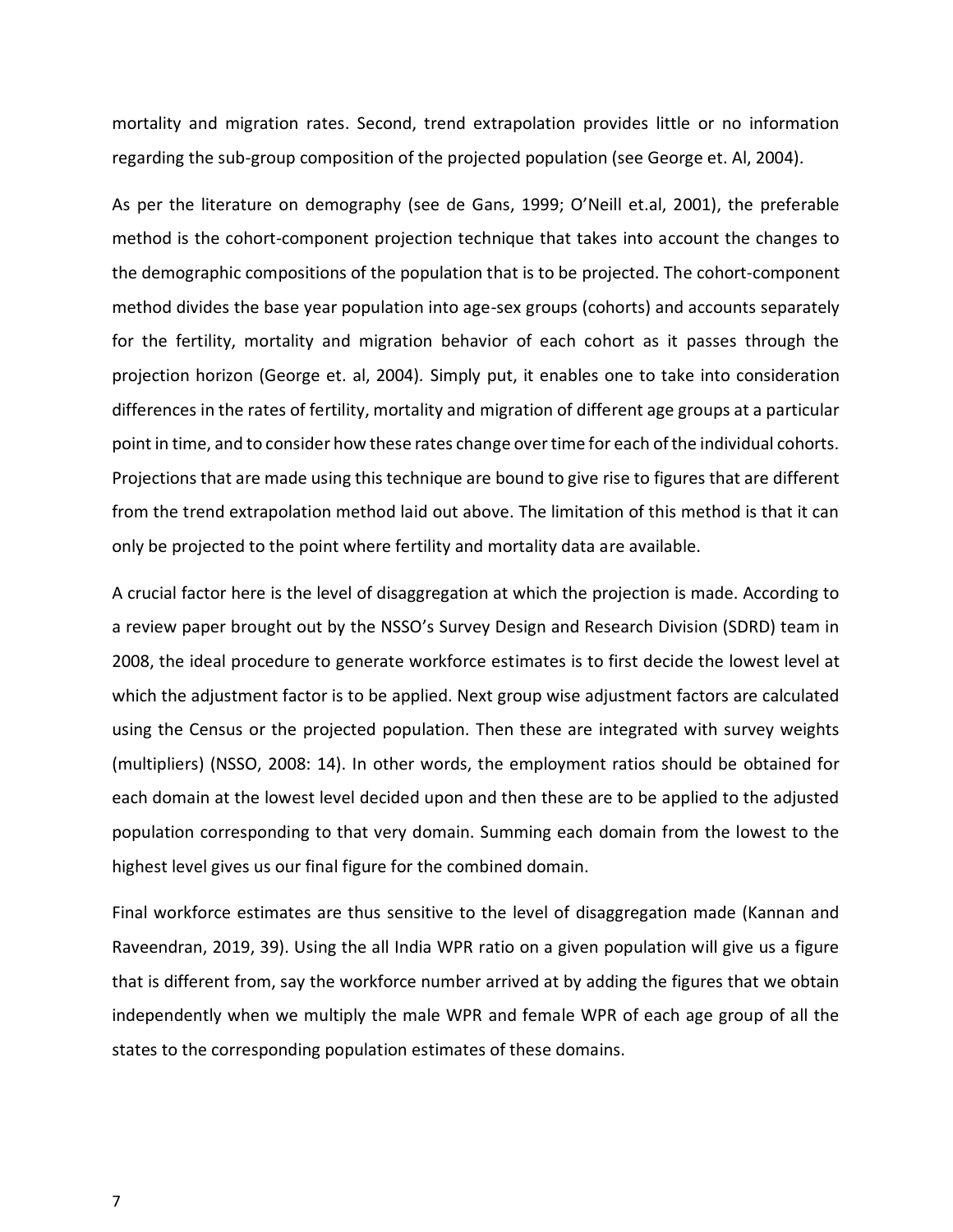mortality and migration rates. Second, trend extrapolation provides little or no information regarding the sub-group composition of the projected population (see George et. Al, 2004).

As per the literature on demography (see de Gans, 1999; O'Neill et.al, 2001), the preferable method is the cohort-component projection technique that takes into account the changes to the demographic compositions of the population that is to be projected. The cohort-component method divides the base year population into age-sex groups (cohorts) and accounts separately for the fertility, mortality and migration behavior of each cohort as it passes through the projection horizon (George et. al, 2004)*.* Simply put, it enables one to take into consideration differences in the rates of fertility, mortality and migration of different age groups at a particular point in time, and to consider how these rates change over time for each of the individual cohorts. Projections that are made using this technique are bound to give rise to figures that are different from the trend extrapolation method laid out above. The limitation of this method is that it can only be projected to the point where fertility and mortality data are available.

A crucial factor here is the level of disaggregation at which the projection is made. According to a review paper brought out by the NSSO's Survey Design and Research Division (SDRD) team in 2008, the ideal procedure to generate workforce estimates is to first decide the lowest level at which the adjustment factor is to be applied. Next group wise adjustment factors are calculated using the Census or the projected population. Then these are integrated with survey weights (multipliers) (NSSO, 2008: 14). In other words, the employment ratios should be obtained for each domain at the lowest level decided upon and then these are to be applied to the adjusted population corresponding to that very domain. Summing each domain from the lowest to the highest level gives us our final figure for the combined domain.

Final workforce estimates are thus sensitive to the level of disaggregation made (Kannan and Raveendran, 2019, 39). Using the all India WPR ratio on a given population will give us a figure that is different from, say the workforce number arrived at by adding the figures that we obtain independently when we multiply the male WPR and female WPR of each age group of all the states to the corresponding population estimates of these domains.

7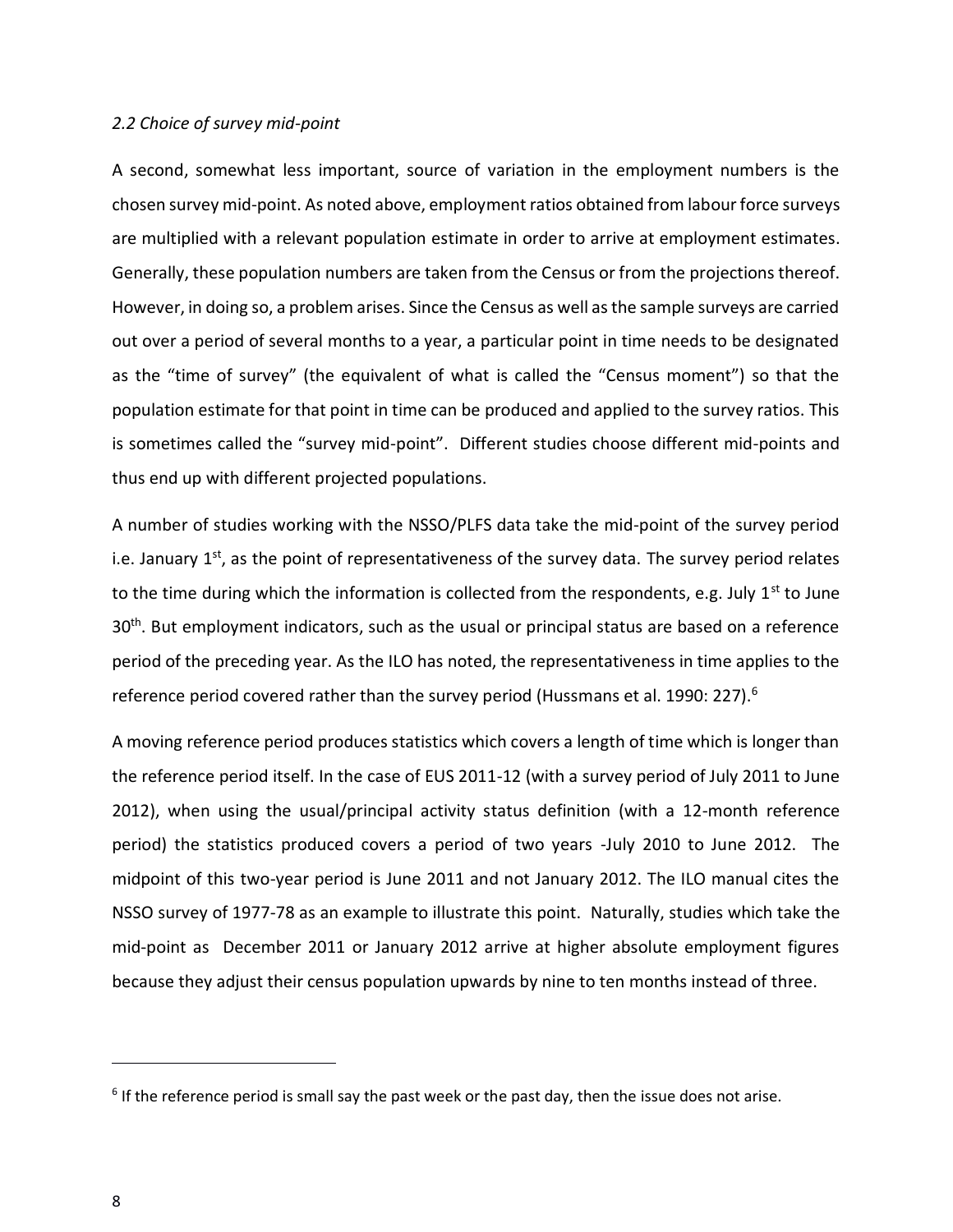#### *2.2 Choice of survey mid-point*

A second, somewhat less important, source of variation in the employment numbers is the chosen survey mid-point. As noted above, employment ratios obtained from labour force surveys are multiplied with a relevant population estimate in order to arrive at employment estimates. Generally, these population numbers are taken from the Census or from the projections thereof. However, in doing so, a problem arises. Since the Census as well as the sample surveys are carried out over a period of several months to a year, a particular point in time needs to be designated as the "time of survey" (the equivalent of what is called the "Census moment") so that the population estimate for that point in time can be produced and applied to the survey ratios. This is sometimes called the "survey mid-point". Different studies choose different mid-points and thus end up with different projected populations.

A number of studies working with the NSSO/PLFS data take the mid-point of the survey period i.e. January  $1<sup>st</sup>$ , as the point of representativeness of the survey data. The survey period relates to the time during which the information is collected from the respondents, e.g. July  $1<sup>st</sup>$  to June 30<sup>th</sup>. But employment indicators, such as the usual or principal status are based on a reference period of the preceding year. As the ILO has noted, the representativeness in time applies to the reference period covered rather than the survey period (Hussmans et al. 1990: 227).<sup>6</sup>

A moving reference period produces statistics which covers a length of time which is longer than the reference period itself. In the case of EUS 2011-12 (with a survey period of July 2011 to June 2012), when using the usual/principal activity status definition (with a 12-month reference period) the statistics produced covers a period of two years -July 2010 to June 2012. The midpoint of this two-year period is June 2011 and not January 2012. The ILO manual cites the NSSO survey of 1977-78 as an example to illustrate this point. Naturally, studies which take the mid-point as December 2011 or January 2012 arrive at higher absolute employment figures because they adjust their census population upwards by nine to ten months instead of three.

 $<sup>6</sup>$  If the reference period is small say the past week or the past day, then the issue does not arise.</sup>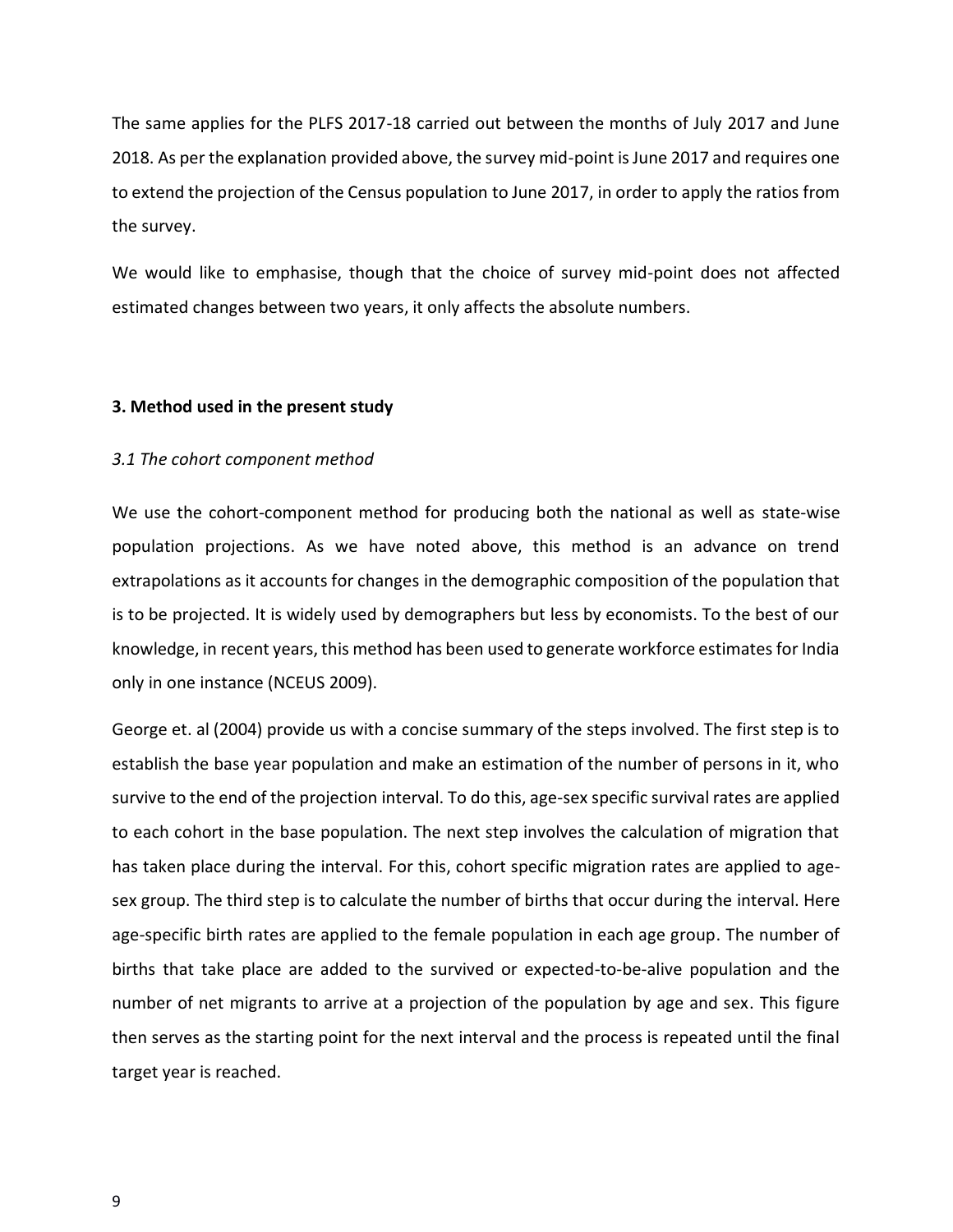The same applies for the PLFS 2017-18 carried out between the months of July 2017 and June 2018. As per the explanation provided above, the survey mid-point is June 2017 and requires one to extend the projection of the Census population to June 2017, in order to apply the ratios from the survey.

We would like to emphasise, though that the choice of survey mid-point does not affected estimated changes between two years, it only affects the absolute numbers.

#### **3. Method used in the present study**

#### *3.1 The cohort component method*

We use the cohort-component method for producing both the national as well as state-wise population projections. As we have noted above, this method is an advance on trend extrapolations as it accounts for changes in the demographic composition of the population that is to be projected. It is widely used by demographers but less by economists. To the best of our knowledge, in recent years, this method has been used to generate workforce estimates for India only in one instance (NCEUS 2009).

George et. al (2004) provide us with a concise summary of the steps involved. The first step is to establish the base year population and make an estimation of the number of persons in it, who survive to the end of the projection interval. To do this, age-sex specific survival rates are applied to each cohort in the base population. The next step involves the calculation of migration that has taken place during the interval. For this, cohort specific migration rates are applied to agesex group. The third step is to calculate the number of births that occur during the interval. Here age-specific birth rates are applied to the female population in each age group. The number of births that take place are added to the survived or expected-to-be-alive population and the number of net migrants to arrive at a projection of the population by age and sex. This figure then serves as the starting point for the next interval and the process is repeated until the final target year is reached.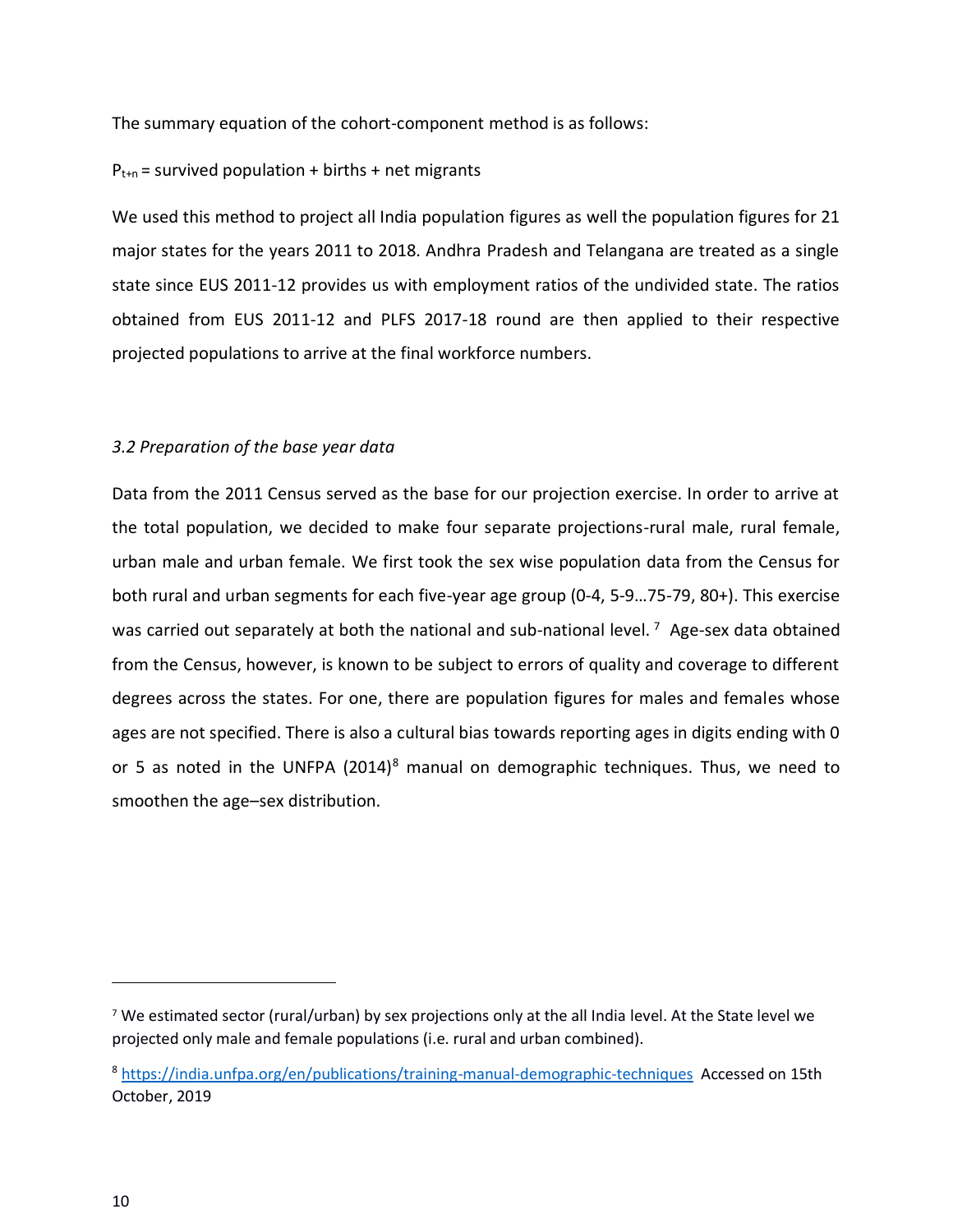The summary equation of the cohort-component method is as follows:

#### $P_{t+n}$  = survived population + births + net migrants

We used this method to project all India population figures as well the population figures for 21 major states for the years 2011 to 2018. Andhra Pradesh and Telangana are treated as a single state since EUS 2011-12 provides us with employment ratios of the undivided state. The ratios obtained from EUS 2011-12 and PLFS 2017-18 round are then applied to their respective projected populations to arrive at the final workforce numbers.

#### *3.2 Preparation of the base year data*

Data from the 2011 Census served as the base for our projection exercise. In order to arrive at the total population, we decided to make four separate projections-rural male, rural female, urban male and urban female. We first took the sex wise population data from the Census for both rural and urban segments for each five-year age group (0-4, 5-9…75-79, 80+). This exercise was carried out separately at both the national and sub-national level.<sup>7</sup> Age-sex data obtained from the Census, however, is known to be subject to errors of quality and coverage to different degrees across the states. For one, there are population figures for males and females whose ages are not specified. There is also a cultural bias towards reporting ages in digits ending with 0 or 5 as noted in the UNFPA  $(2014)^8$  manual on demographic techniques. Thus, we need to smoothen the age–sex distribution.

<sup>&</sup>lt;sup>7</sup> We estimated sector (rural/urban) by sex projections only at the all India level. At the State level we projected only male and female populations (i.e. rural and urban combined).

<sup>8</sup> <https://india.unfpa.org/en/publications/training-manual-demographic-techniques> Accessed on 15th October, 2019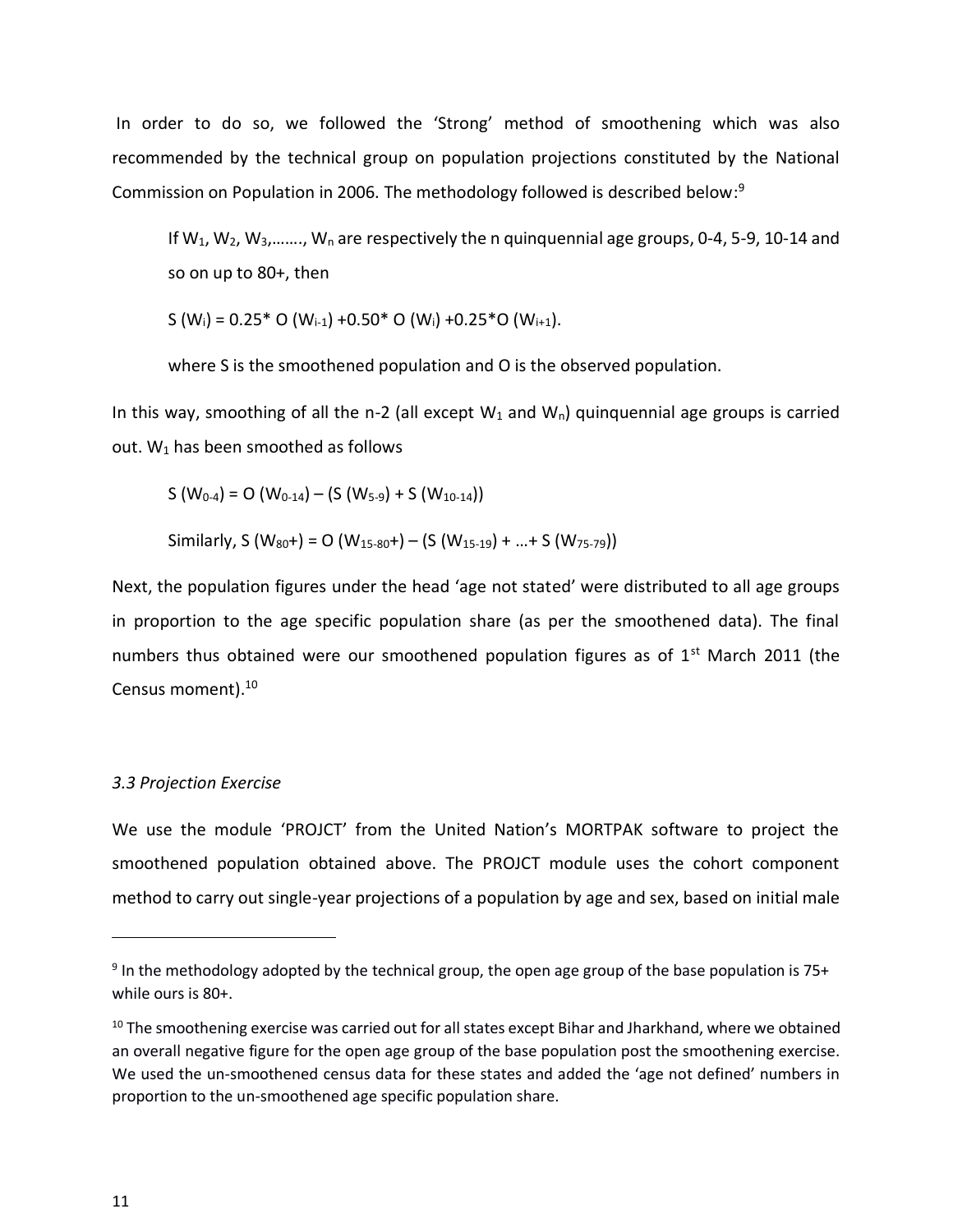In order to do so, we followed the 'Strong' method of smoothening which was also recommended by the technical group on population projections constituted by the National Commission on Population in 2006. The methodology followed is described below: 9

If  $W_1$ ,  $W_2$ ,  $W_3$ ,.......,  $W_n$  are respectively the n quinquennial age groups, 0-4, 5-9, 10-14 and so on up to 80+, then

S (W<sub>i</sub>) = 0.25\* O (W<sub>i-1</sub>) +0.50\* O (W<sub>i</sub>) +0.25\* O (W<sub>i+1</sub>).

where S is the smoothened population and O is the observed population.

In this way, smoothing of all the n-2 (all except  $W_1$  and  $W_0$ ) quinquennial age groups is carried out.  $W_1$  has been smoothed as follows

$$
S (W_{0-4}) = O (W_{0-14}) - (S (W_{5-9}) + S (W_{10-14}))
$$

Similarly, S (W<sub>80</sub>+) = O (W<sub>15-80</sub>+) – (S (W<sub>15-19</sub>) + ... + S (W<sub>75-79</sub>))

Next, the population figures under the head 'age not stated' were distributed to all age groups in proportion to the age specific population share (as per the smoothened data). The final numbers thus obtained were our smoothened population figures as of  $1<sup>st</sup>$  March 2011 (the Census moment). 10

#### *3.3 Projection Exercise*

We use the module 'PROJCT' from the United Nation's MORTPAK software to project the smoothened population obtained above. The PROJCT module uses the cohort component method to carry out single-year projections of a population by age and sex, based on initial male

 $9$  In the methodology adopted by the technical group, the open age group of the base population is 75+ while ours is 80+.

 $10$  The smoothening exercise was carried out for all states except Bihar and Jharkhand, where we obtained an overall negative figure for the open age group of the base population post the smoothening exercise. We used the un-smoothened census data for these states and added the 'age not defined' numbers in proportion to the un-smoothened age specific population share.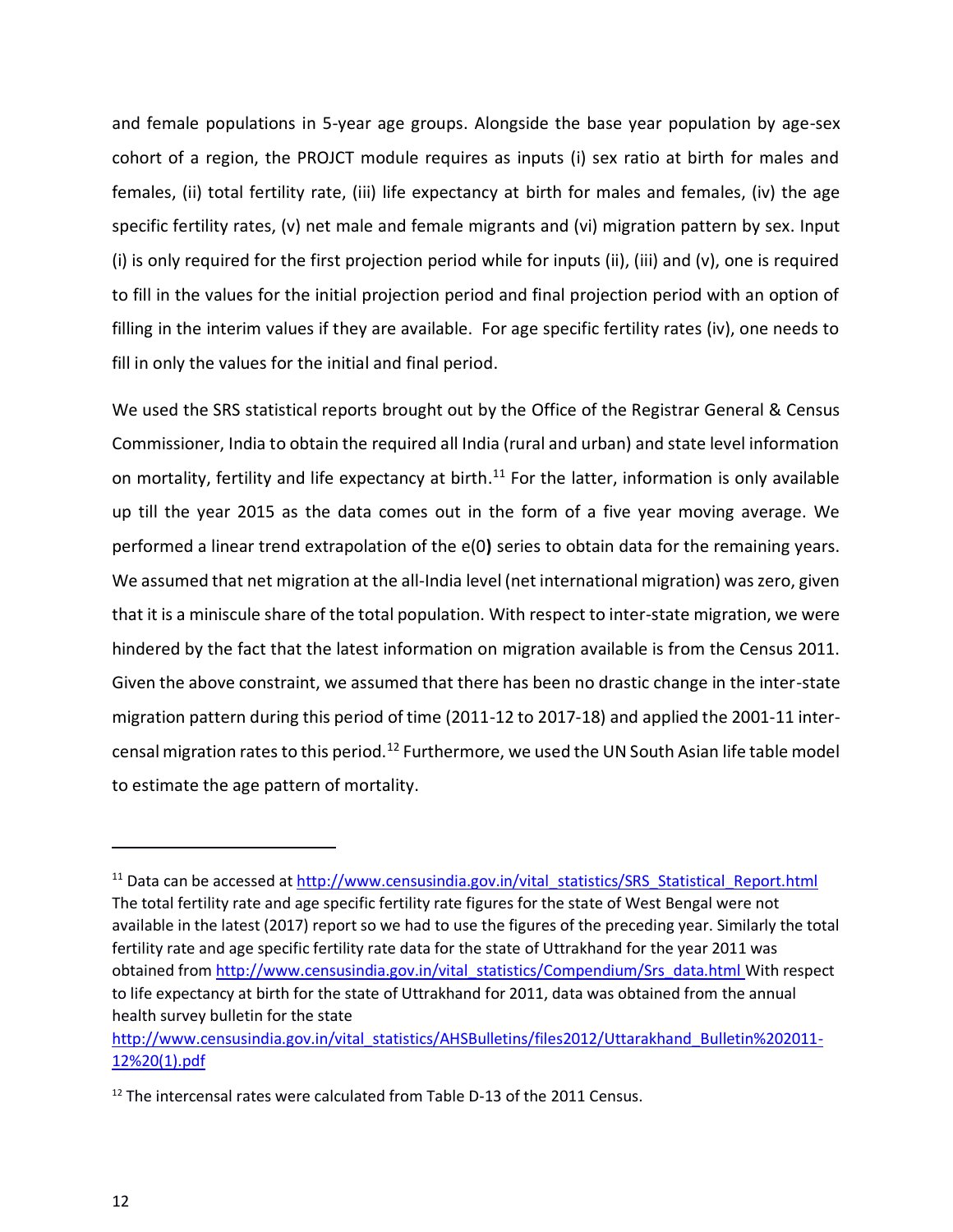and female populations in 5-year age groups. Alongside the base year population by age-sex cohort of a region, the PROJCT module requires as inputs (i) sex ratio at birth for males and females, (ii) total fertility rate, (iii) life expectancy at birth for males and females, (iv) the age specific fertility rates, (v) net male and female migrants and (vi) migration pattern by sex. Input (i) is only required for the first projection period while for inputs (ii), (iii) and (v), one is required to fill in the values for the initial projection period and final projection period with an option of filling in the interim values if they are available. For age specific fertility rates (iv), one needs to fill in only the values for the initial and final period.

We used the SRS statistical reports brought out by the Office of the Registrar General & Census Commissioner, India to obtain the required all India (rural and urban) and state level information on mortality, fertility and life expectancy at birth.<sup>11</sup> For the latter, information is only available up till the year 2015 as the data comes out in the form of a five year moving average. We performed a linear trend extrapolation of the e(0**)** series to obtain data for the remaining years. We assumed that net migration at the all-India level (net international migration) was zero, given that it is a miniscule share of the total population. With respect to inter-state migration, we were hindered by the fact that the latest information on migration available is from the Census 2011. Given the above constraint, we assumed that there has been no drastic change in the inter-state migration pattern during this period of time (2011-12 to 2017-18) and applied the 2001-11 intercensal migration rates to this period.<sup>12</sup> Furthermore, we used the UN South Asian life table model to estimate the age pattern of mortality.

<sup>&</sup>lt;sup>11</sup> Data can be accessed at [http://www.censusindia.gov.in/vital\\_statistics/SRS\\_Statistical\\_Report.html](http://www.censusindia.gov.in/vital_statistics/SRS_Statistical_Report.html) The total fertility rate and age specific fertility rate figures for the state of West Bengal were not available in the latest (2017) report so we had to use the figures of the preceding year. Similarly the total fertility rate and age specific fertility rate data for the state of Uttrakhand for the year 2011 was obtained from [http://www.censusindia.gov.in/vital\\_statistics/Compendium/Srs\\_data.html](http://www.censusindia.gov.in/vital_statistics/Compendium/Srs_data.html) With respect to life expectancy at birth for the state of Uttrakhand for 2011, data was obtained from the annual health survey bulletin for the state [http://www.censusindia.gov.in/vital\\_statistics/AHSBulletins/files2012/Uttarakhand\\_Bulletin%202011-](http://www.censusindia.gov.in/vital_statistics/AHSBulletins/files2012/Uttarakhand_Bulletin%202011-12%20(1).pdf)

[<sup>12%20\(1\).</sup>pdf](http://www.censusindia.gov.in/vital_statistics/AHSBulletins/files2012/Uttarakhand_Bulletin%202011-12%20(1).pdf)

<sup>&</sup>lt;sup>12</sup> The intercensal rates were calculated from Table D-13 of the 2011 Census.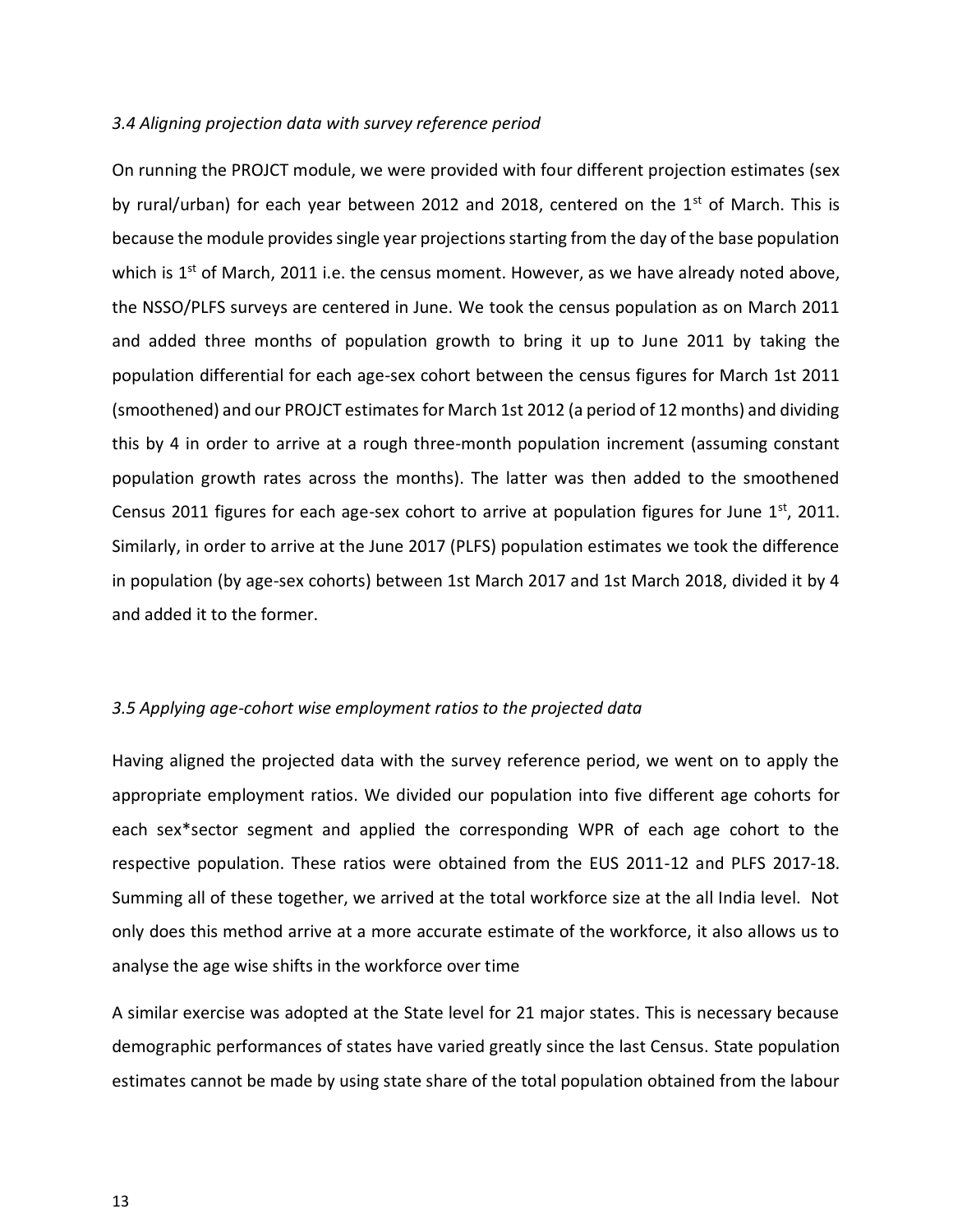#### *3.4 Aligning projection data with survey reference period*

On running the PROJCT module, we were provided with four different projection estimates (sex by rural/urban) for each year between 2012 and 2018, centered on the  $1<sup>st</sup>$  of March. This is because the module provides single year projections starting from the day of the base population which is  $1^{st}$  of March, 2011 i.e. the census moment. However, as we have already noted above, the NSSO/PLFS surveys are centered in June. We took the census population as on March 2011 and added three months of population growth to bring it up to June 2011 by taking the population differential for each age-sex cohort between the census figures for March 1st 2011 (smoothened) and our PROJCT estimates for March 1st 2012 (a period of 12 months) and dividing this by 4 in order to arrive at a rough three-month population increment (assuming constant population growth rates across the months). The latter was then added to the smoothened Census 2011 figures for each age-sex cohort to arrive at population figures for June 1st, 2011. Similarly, in order to arrive at the June 2017 (PLFS) population estimates we took the difference in population (by age-sex cohorts) between 1st March 2017 and 1st March 2018, divided it by 4 and added it to the former.

#### *3.5 Applying age-cohort wise employment ratios to the projected data*

Having aligned the projected data with the survey reference period, we went on to apply the appropriate employment ratios. We divided our population into five different age cohorts for each sex\*sector segment and applied the corresponding WPR of each age cohort to the respective population. These ratios were obtained from the EUS 2011-12 and PLFS 2017-18. Summing all of these together, we arrived at the total workforce size at the all India level. Not only does this method arrive at a more accurate estimate of the workforce, it also allows us to analyse the age wise shifts in the workforce over time

A similar exercise was adopted at the State level for 21 major states. This is necessary because demographic performances of states have varied greatly since the last Census. State population estimates cannot be made by using state share of the total population obtained from the labour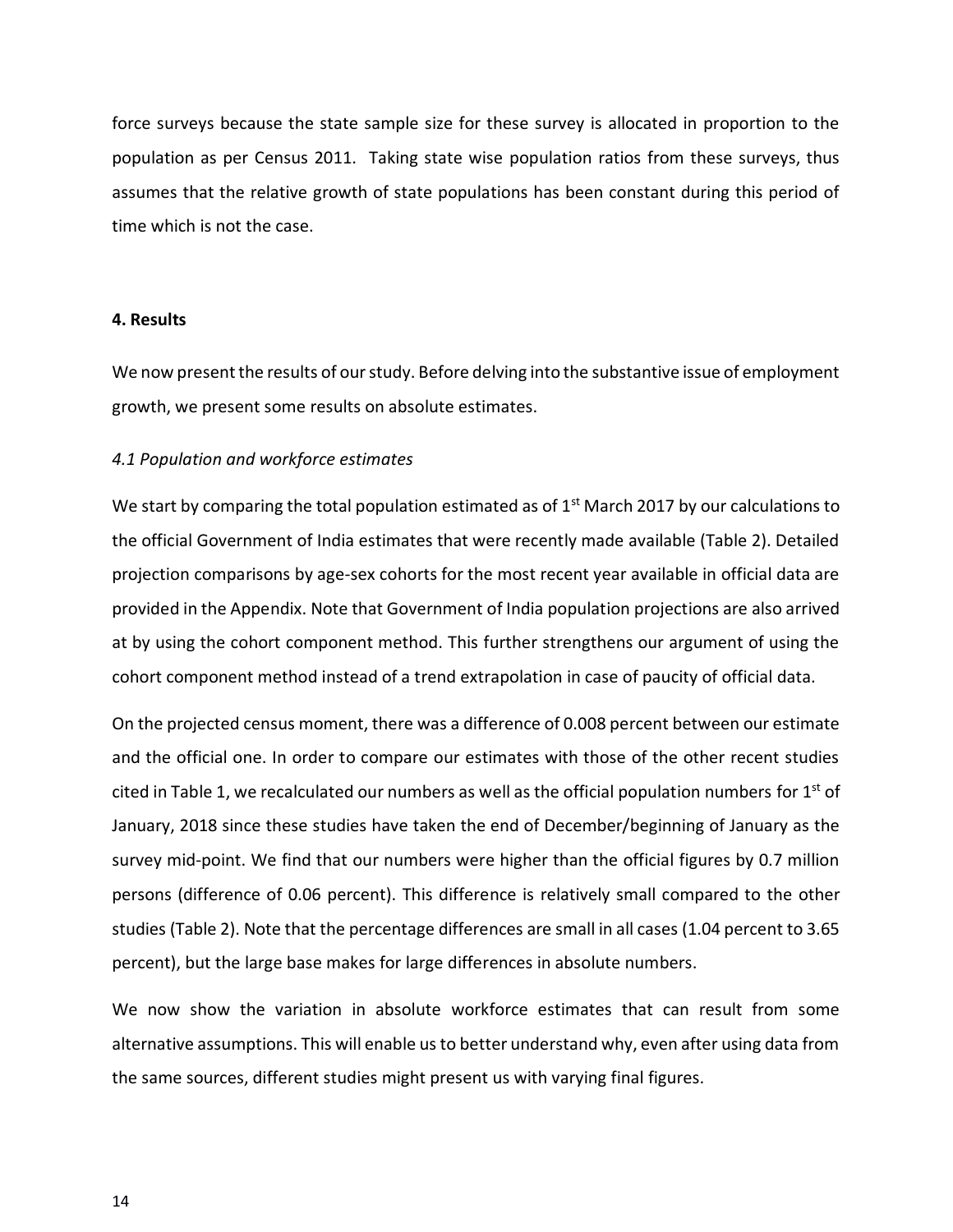force surveys because the state sample size for these survey is allocated in proportion to the population as per Census 2011. Taking state wise population ratios from these surveys, thus assumes that the relative growth of state populations has been constant during this period of time which is not the case.

#### **4. Results**

We now present the results of our study. Before delving into the substantive issue of employment growth, we present some results on absolute estimates.

#### *4.1 Population and workforce estimates*

We start by comparing the total population estimated as of  $1<sup>st</sup>$  March 2017 by our calculations to the official Government of India estimates that were recently made available (Table 2). Detailed projection comparisons by age-sex cohorts for the most recent year available in official data are provided in the Appendix. Note that Government of India population projections are also arrived at by using the cohort component method. This further strengthens our argument of using the cohort component method instead of a trend extrapolation in case of paucity of official data.

On the projected census moment, there was a difference of 0.008 percent between our estimate and the official one. In order to compare our estimates with those of the other recent studies cited in Table 1, we recalculated our numbers as well as the official population numbers for  $1<sup>st</sup>$  of January, 2018 since these studies have taken the end of December/beginning of January as the survey mid-point. We find that our numbers were higher than the official figures by 0.7 million persons (difference of 0.06 percent). This difference is relatively small compared to the other studies (Table 2). Note that the percentage differences are small in all cases (1.04 percent to 3.65 percent), but the large base makes for large differences in absolute numbers.

We now show the variation in absolute workforce estimates that can result from some alternative assumptions. This will enable us to better understand why, even after using data from the same sources, different studies might present us with varying final figures.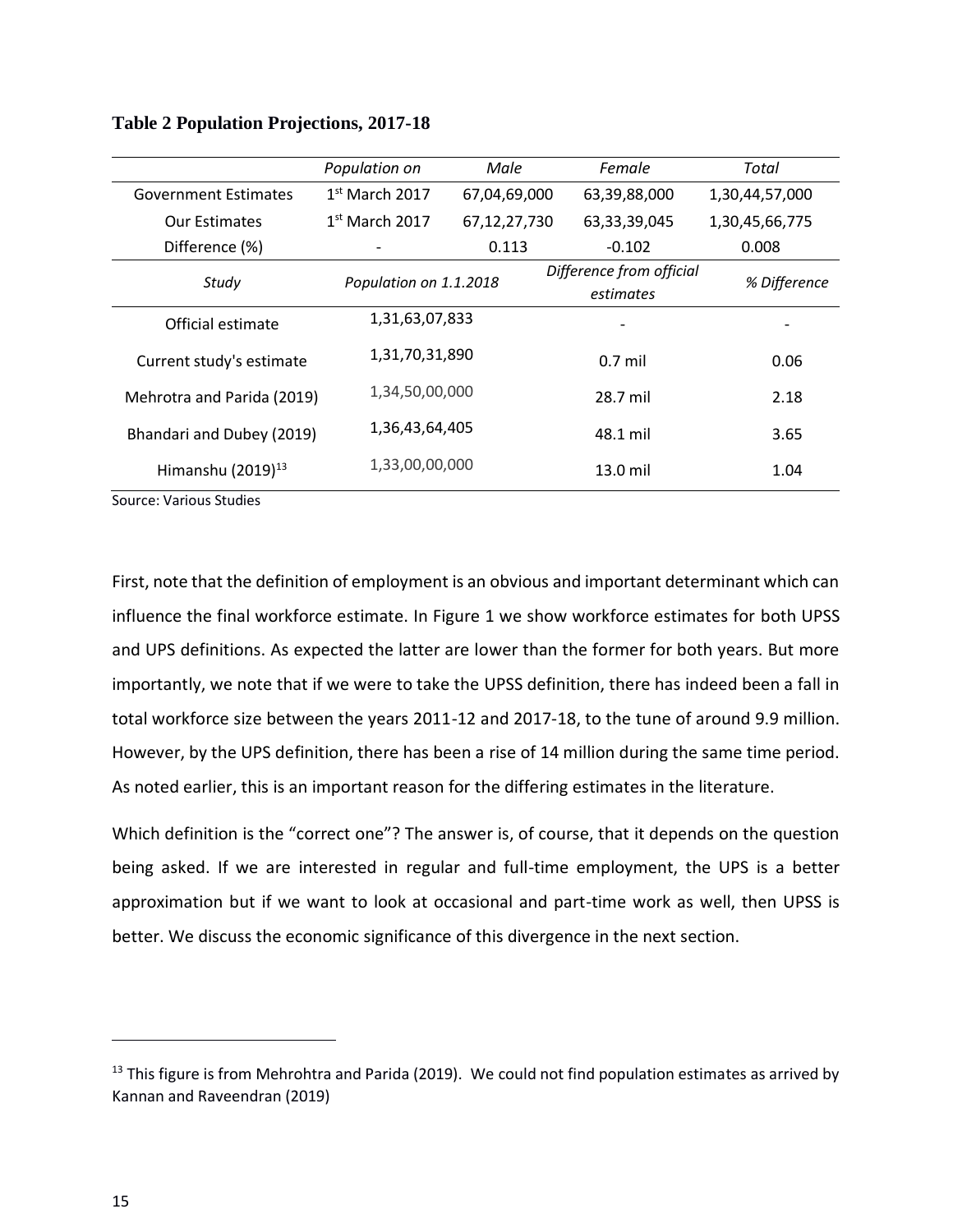|                                             | Population on          | Male         | Female                   | Total          |  |
|---------------------------------------------|------------------------|--------------|--------------------------|----------------|--|
| <b>Government Estimates</b>                 | $1st$ March 2017       | 67,04,69,000 | 63,39,88,000             | 1,30,44,57,000 |  |
| <b>Our Estimates</b>                        | $1st$ March 2017       | 67,12,27,730 | 63,33,39,045             | 1,30,45,66,775 |  |
| Difference (%)                              | 0.113                  |              | $-0.102$                 | 0.008          |  |
| Study                                       | Population on 1.1.2018 |              | Difference from official | % Difference   |  |
|                                             |                        |              | estimates                |                |  |
| Official estimate                           | 1,31,63,07,833         |              |                          |                |  |
| Current study's estimate                    | 1,31,70,31,890         |              | $0.7$ mil                | 0.06           |  |
| Mehrotra and Parida (2019)                  | 1,34,50,00,000         |              | 28.7 mil                 | 2.18           |  |
| 1,36,43,64,405<br>Bhandari and Dubey (2019) |                        |              | 48.1 mil                 | 3.65           |  |
| Himanshu $(2019)^{13}$                      | 1,33,00,00,000         |              | $13.0$ mil               | 1.04           |  |

**Table 2 Population Projections, 2017-18**

Source: Various Studies

First, note that the definition of employment is an obvious and important determinant which can influence the final workforce estimate. In Figure 1 we show workforce estimates for both UPSS and UPS definitions. As expected the latter are lower than the former for both years. But more importantly, we note that if we were to take the UPSS definition, there has indeed been a fall in total workforce size between the years 2011-12 and 2017-18, to the tune of around 9.9 million. However, by the UPS definition, there has been a rise of 14 million during the same time period. As noted earlier, this is an important reason for the differing estimates in the literature.

Which definition is the "correct one"? The answer is, of course, that it depends on the question being asked. If we are interested in regular and full-time employment, the UPS is a better approximation but if we want to look at occasional and part-time work as well, then UPSS is better. We discuss the economic significance of this divergence in the next section.

 $13$  This figure is from Mehrohtra and Parida (2019). We could not find population estimates as arrived by Kannan and Raveendran (2019)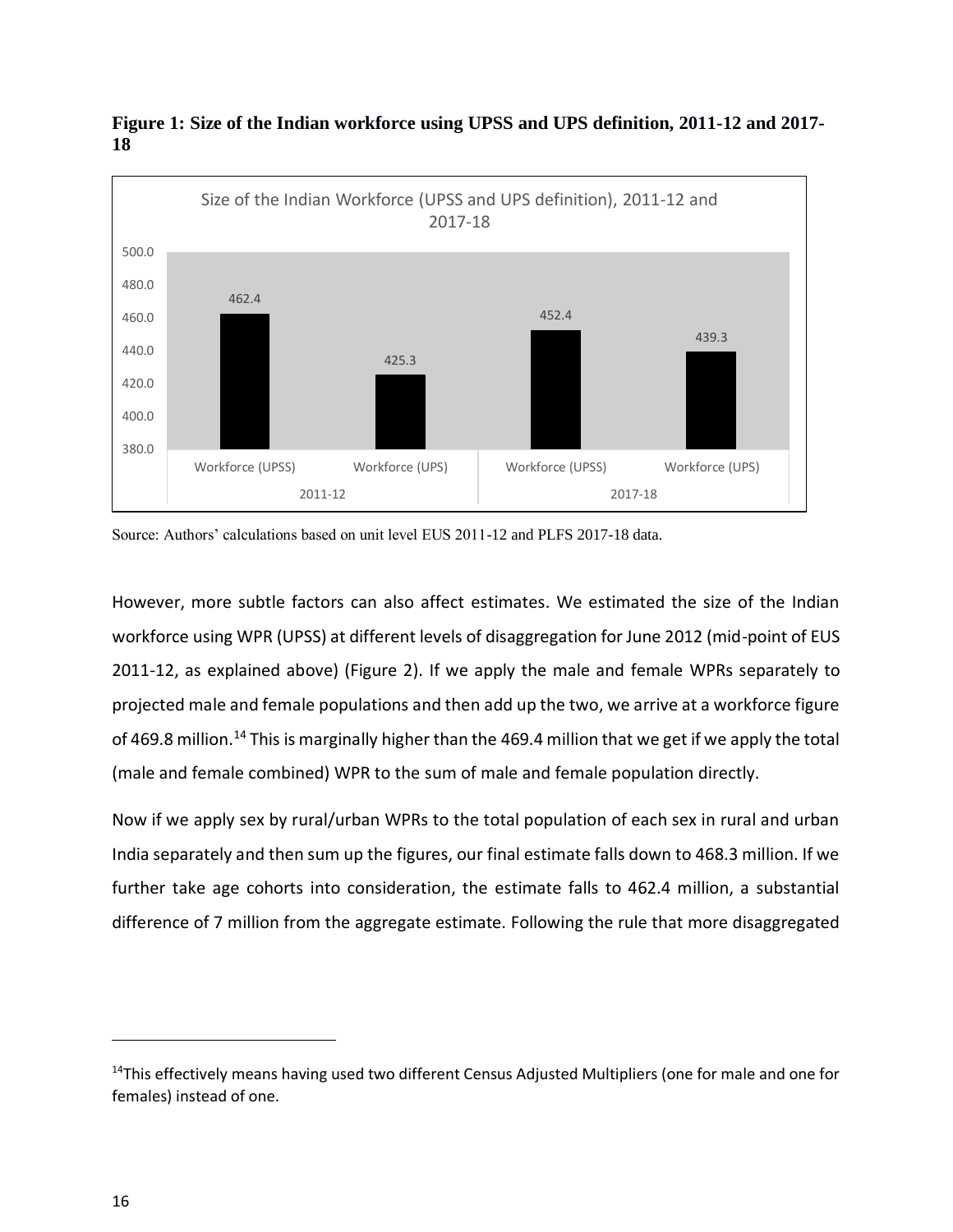



However, more subtle factors can also affect estimates. We estimated the size of the Indian workforce using WPR (UPSS) at different levels of disaggregation for June 2012 (mid-point of EUS 2011-12, as explained above) (Figure 2). If we apply the male and female WPRs separately to projected male and female populations and then add up the two, we arrive at a workforce figure of 469.8 million.<sup>14</sup> This is marginally higher than the 469.4 million that we get if we apply the total (male and female combined) WPR to the sum of male and female population directly.

Now if we apply sex by rural/urban WPRs to the total population of each sex in rural and urban India separately and then sum up the figures, our final estimate falls down to 468.3 million. If we further take age cohorts into consideration, the estimate falls to 462.4 million, a substantial difference of 7 million from the aggregate estimate. Following the rule that more disaggregated

Source: Authors' calculations based on unit level EUS 2011-12 and PLFS 2017-18 data.

<sup>&</sup>lt;sup>14</sup>This effectively means having used two different Census Adjusted Multipliers (one for male and one for females) instead of one.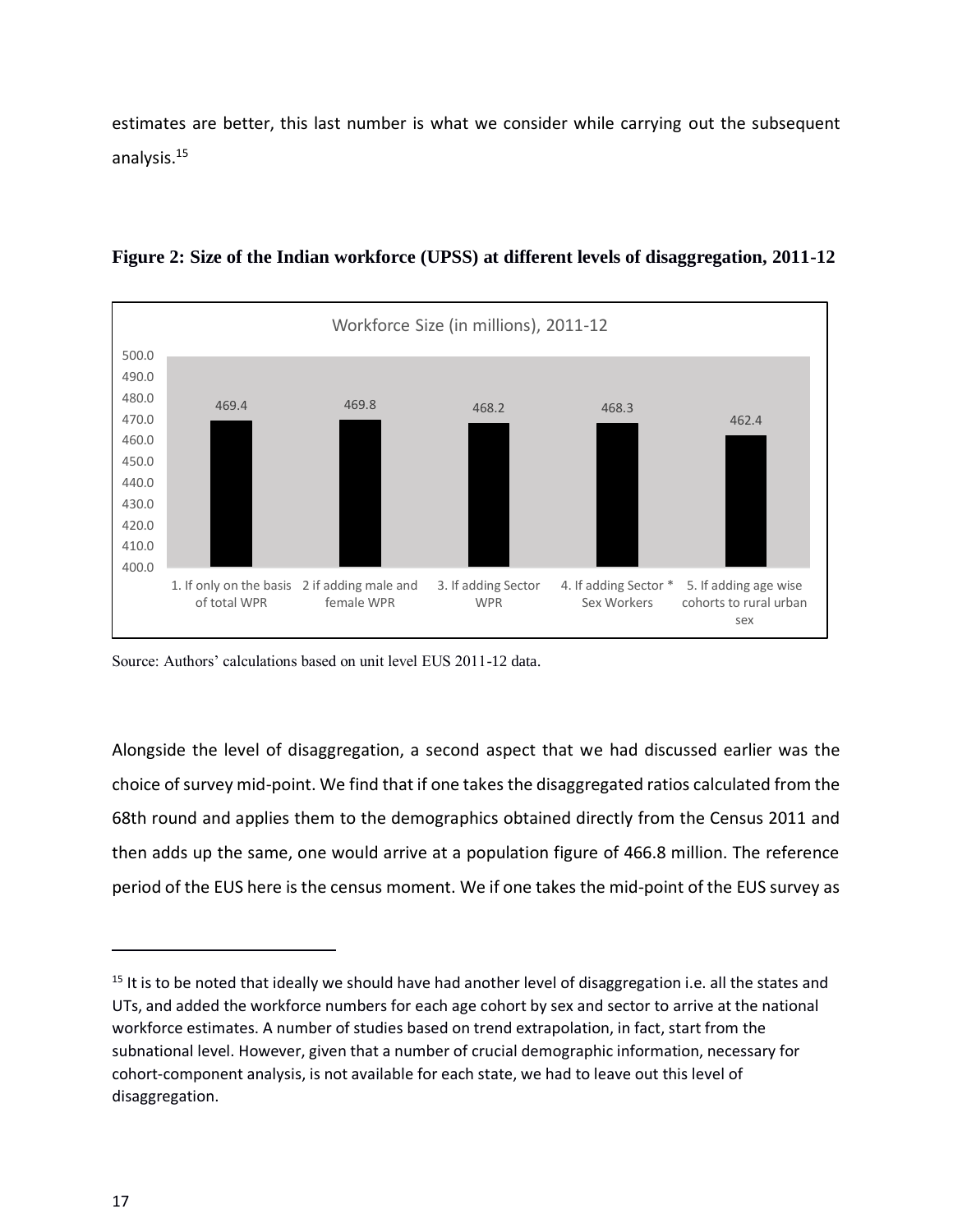estimates are better, this last number is what we consider while carrying out the subsequent analysis. 15



**Figure 2: Size of the Indian workforce (UPSS) at different levels of disaggregation, 2011-12**

Source: Authors' calculations based on unit level EUS 2011-12 data.

Alongside the level of disaggregation, a second aspect that we had discussed earlier was the choice of survey mid-point. We find that if one takes the disaggregated ratios calculated from the 68th round and applies them to the demographics obtained directly from the Census 2011 and then adds up the same, one would arrive at a population figure of 466.8 million. The reference period of the EUS here is the census moment. We if one takes the mid-point of the EUS survey as

 $15$  It is to be noted that ideally we should have had another level of disaggregation i.e. all the states and UTs, and added the workforce numbers for each age cohort by sex and sector to arrive at the national workforce estimates. A number of studies based on trend extrapolation, in fact, start from the subnational level. However, given that a number of crucial demographic information, necessary for cohort-component analysis, is not available for each state, we had to leave out this level of disaggregation.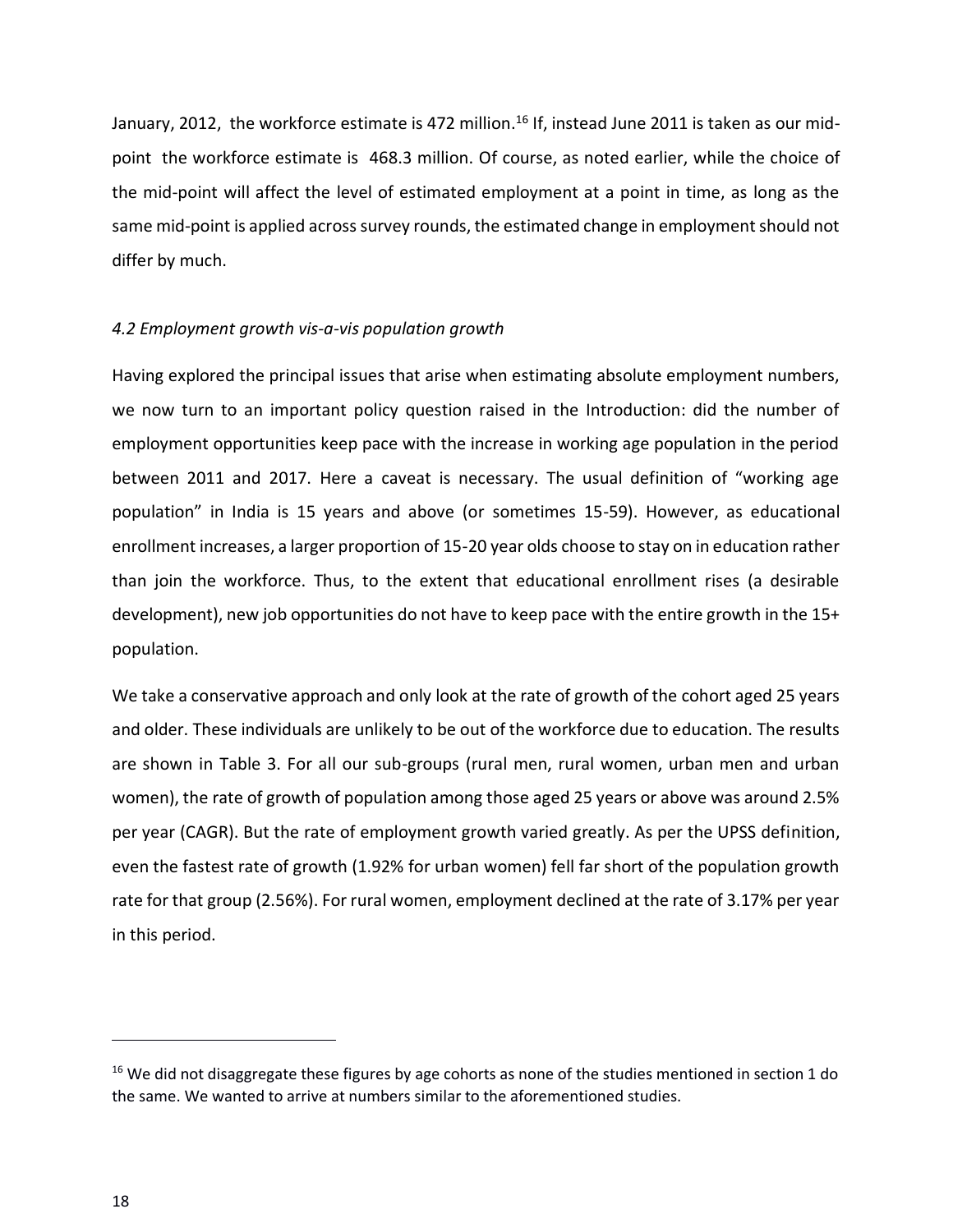January, 2012, the workforce estimate is 472 million.<sup>16</sup> If, instead June 2011 is taken as our midpoint the workforce estimate is 468.3 million. Of course, as noted earlier, while the choice of the mid-point will affect the level of estimated employment at a point in time, as long as the same mid-point is applied across survey rounds, the estimated change in employment should not differ by much.

#### *4.2 Employment growth vis-a-vis population growth*

Having explored the principal issues that arise when estimating absolute employment numbers, we now turn to an important policy question raised in the Introduction: did the number of employment opportunities keep pace with the increase in working age population in the period between 2011 and 2017. Here a caveat is necessary. The usual definition of "working age population" in India is 15 years and above (or sometimes 15-59). However, as educational enrollment increases, a larger proportion of 15-20 year olds choose to stay on in education rather than join the workforce. Thus, to the extent that educational enrollment rises (a desirable development), new job opportunities do not have to keep pace with the entire growth in the 15+ population.

We take a conservative approach and only look at the rate of growth of the cohort aged 25 years and older. These individuals are unlikely to be out of the workforce due to education. The results are shown in Table 3. For all our sub-groups (rural men, rural women, urban men and urban women), the rate of growth of population among those aged 25 years or above was around 2.5% per year (CAGR). But the rate of employment growth varied greatly. As per the UPSS definition, even the fastest rate of growth (1.92% for urban women) fell far short of the population growth rate for that group (2.56%). For rural women, employment declined at the rate of 3.17% per year in this period.

 $16$  We did not disaggregate these figures by age cohorts as none of the studies mentioned in section 1 do the same. We wanted to arrive at numbers similar to the aforementioned studies.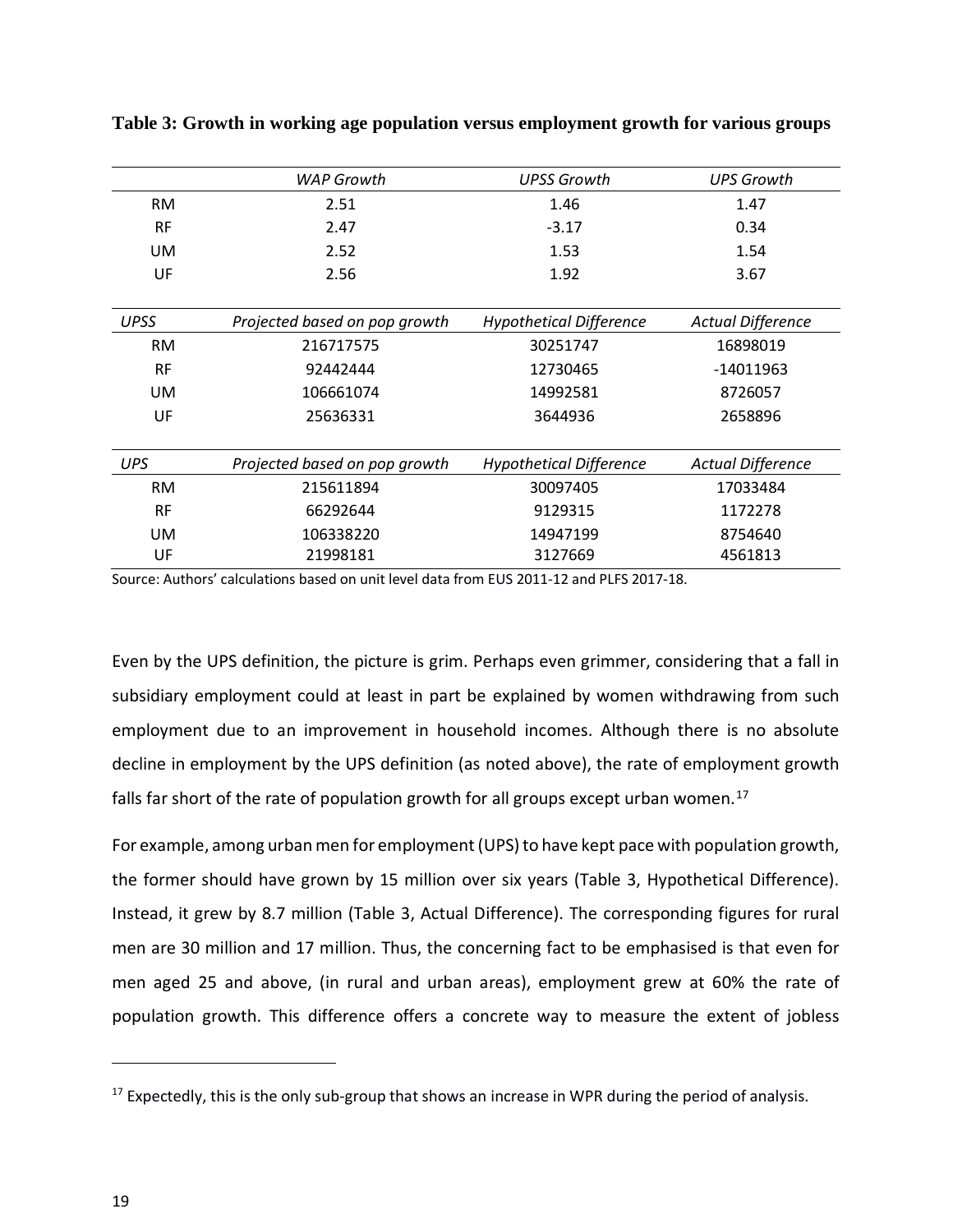|             | WAP Growth                    | <b>UPSS Growth</b>             | UPS Growth               |  |
|-------------|-------------------------------|--------------------------------|--------------------------|--|
| <b>RM</b>   | 2.51                          | 1.46                           | 1.47                     |  |
| <b>RF</b>   | 2.47                          | $-3.17$                        | 0.34                     |  |
| UM.         | 2.52                          | 1.53                           | 1.54                     |  |
| UF          | 2.56                          | 1.92                           | 3.67                     |  |
| <b>UPSS</b> | Projected based on pop growth | <b>Hypothetical Difference</b> | <b>Actual Difference</b> |  |
| <b>RM</b>   | 216717575                     | 30251747                       | 16898019                 |  |
| <b>RF</b>   | 92442444                      | 12730465                       | -14011963                |  |
| UM          | 106661074                     | 14992581                       | 8726057                  |  |
| UF          | 25636331                      | 3644936                        | 2658896                  |  |
| <b>UPS</b>  | Projected based on pop growth | <b>Hypothetical Difference</b> | <b>Actual Difference</b> |  |
| <b>RM</b>   | 215611894                     | 30097405                       | 17033484                 |  |
| <b>RF</b>   | 66292644                      | 9129315                        | 1172278                  |  |
| UM.         | 106338220                     | 14947199                       | 8754640                  |  |
| UF          | 21998181                      | 3127669                        | 4561813                  |  |

**Table 3: Growth in working age population versus employment growth for various groups**

Source: Authors' calculations based on unit level data from EUS 2011-12 and PLFS 2017-18.

Even by the UPS definition, the picture is grim. Perhaps even grimmer, considering that a fall in subsidiary employment could at least in part be explained by women withdrawing from such employment due to an improvement in household incomes. Although there is no absolute decline in employment by the UPS definition (as noted above), the rate of employment growth falls far short of the rate of population growth for all groups except urban women.<sup>17</sup>

For example, among urban men for employment (UPS) to have kept pace with population growth, the former should have grown by 15 million over six years (Table 3, Hypothetical Difference). Instead, it grew by 8.7 million (Table 3, Actual Difference). The corresponding figures for rural men are 30 million and 17 million. Thus, the concerning fact to be emphasised is that even for men aged 25 and above, (in rural and urban areas), employment grew at 60% the rate of population growth. This difference offers a concrete way to measure the extent of jobless

 $17$  Expectedly, this is the only sub-group that shows an increase in WPR during the period of analysis.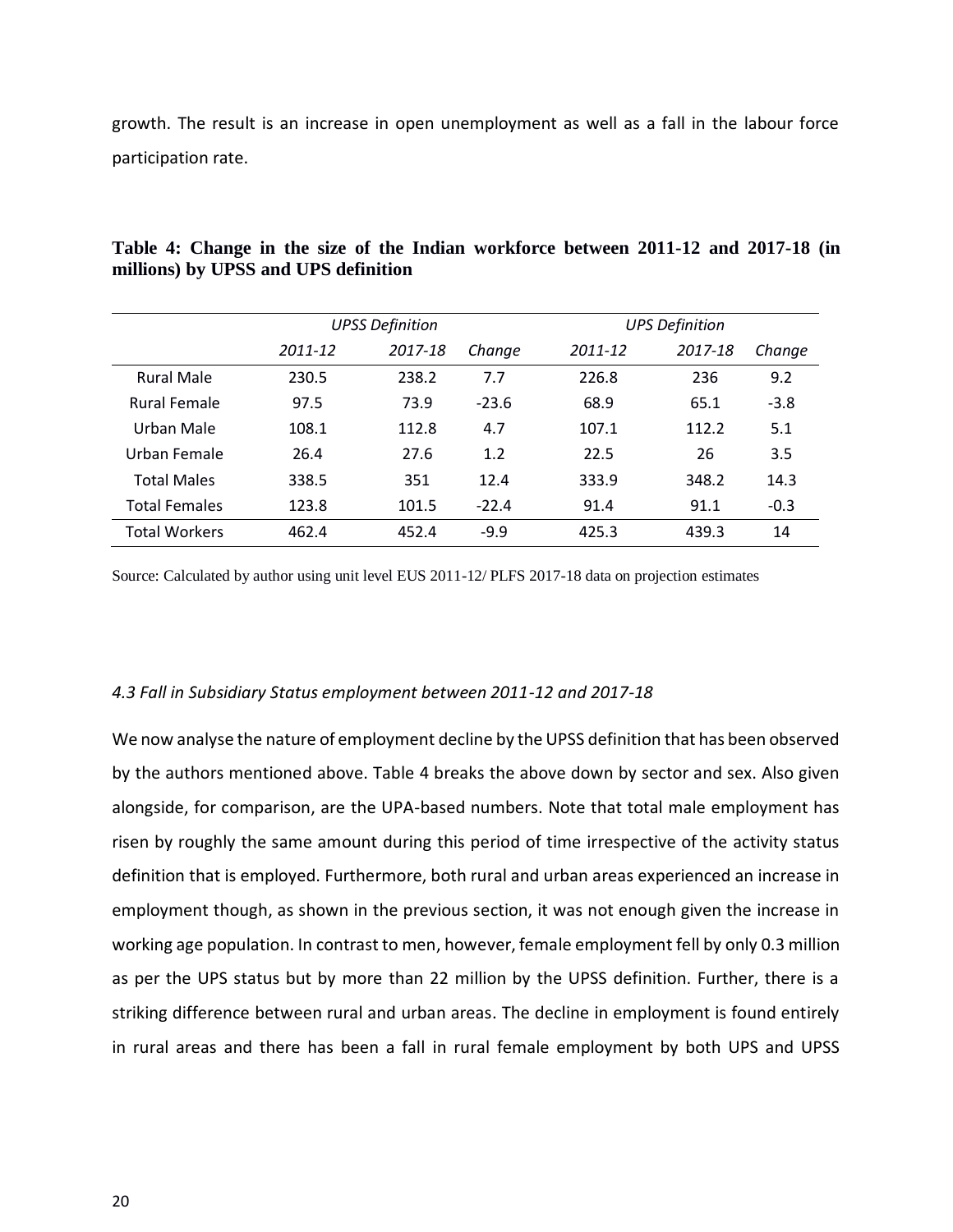growth. The result is an increase in open unemployment as well as a fall in the labour force participation rate.

|                      |         | <b>UPSS Definition</b> |         | <b>UPS Definition</b> |         |        |  |
|----------------------|---------|------------------------|---------|-----------------------|---------|--------|--|
|                      | 2011-12 | 2017-18                | Change  | 2011-12               | 2017-18 | Change |  |
| <b>Rural Male</b>    | 230.5   | 238.2                  | 7.7     | 226.8                 | 236     | 9.2    |  |
| <b>Rural Female</b>  | 97.5    | 73.9                   | $-23.6$ | 68.9                  | 65.1    | $-3.8$ |  |
| Urban Male           | 108.1   | 112.8                  | 4.7     | 107.1                 | 112.2   | 5.1    |  |
| Urban Female         | 26.4    | 27.6                   | 1.2     | 22.5                  | 26      | 3.5    |  |
| <b>Total Males</b>   | 338.5   | 351                    | 12.4    | 333.9                 | 348.2   | 14.3   |  |
| <b>Total Females</b> | 123.8   | 101.5                  | $-22.4$ | 91.4                  | 91.1    | $-0.3$ |  |
| <b>Total Workers</b> | 462.4   | 452.4                  | $-9.9$  | 425.3                 | 439.3   | 14     |  |

**Table 4: Change in the size of the Indian workforce between 2011-12 and 2017-18 (in millions) by UPSS and UPS definition**

Source: Calculated by author using unit level EUS 2011-12/ PLFS 2017-18 data on projection estimates

#### *4.3 Fall in Subsidiary Status employment between 2011-12 and 2017-18*

We now analyse the nature of employment decline by the UPSS definition that has been observed by the authors mentioned above. Table 4 breaks the above down by sector and sex. Also given alongside, for comparison, are the UPA-based numbers. Note that total male employment has risen by roughly the same amount during this period of time irrespective of the activity status definition that is employed. Furthermore, both rural and urban areas experienced an increase in employment though, as shown in the previous section, it was not enough given the increase in working age population. In contrast to men, however, female employment fell by only 0.3 million as per the UPS status but by more than 22 million by the UPSS definition. Further, there is a striking difference between rural and urban areas. The decline in employment is found entirely in rural areas and there has been a fall in rural female employment by both UPS and UPSS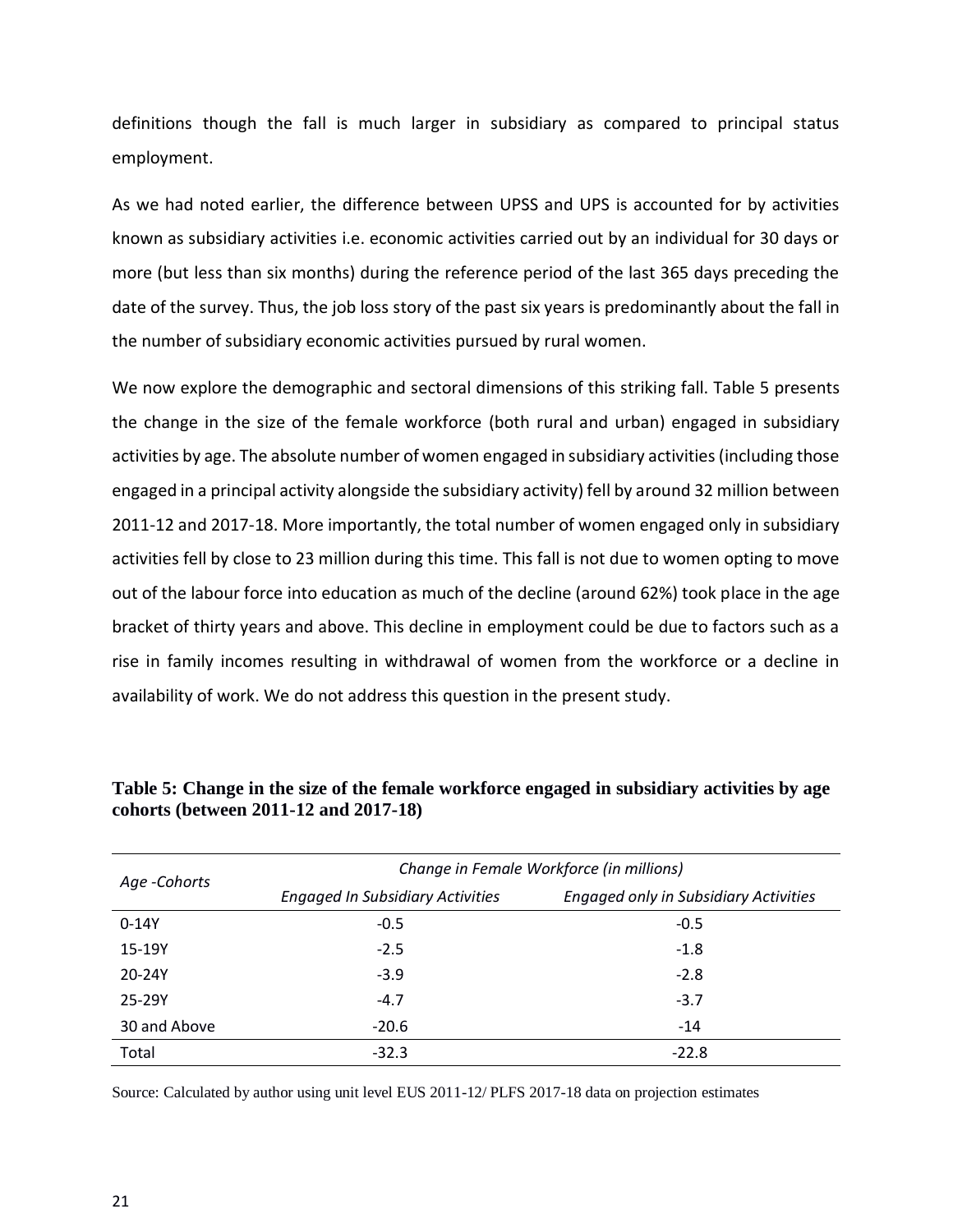definitions though the fall is much larger in subsidiary as compared to principal status employment.

As we had noted earlier, the difference between UPSS and UPS is accounted for by activities known as subsidiary activities i.e. economic activities carried out by an individual for 30 days or more (but less than six months) during the reference period of the last 365 days preceding the date of the survey. Thus, the job loss story of the past six years is predominantly about the fall in the number of subsidiary economic activities pursued by rural women.

We now explore the demographic and sectoral dimensions of this striking fall. Table 5 presents the change in the size of the female workforce (both rural and urban) engaged in subsidiary activities by age. The absolute number of women engaged in subsidiary activities (including those engaged in a principal activity alongside the subsidiary activity) fell by around 32 million between 2011-12 and 2017-18. More importantly, the total number of women engaged only in subsidiary activities fell by close to 23 million during this time. This fall is not due to women opting to move out of the labour force into education as much of the decline (around 62%) took place in the age bracket of thirty years and above. This decline in employment could be due to factors such as a rise in family incomes resulting in withdrawal of women from the workforce or a decline in availability of work. We do not address this question in the present study.

| Age-Cohorts  | Change in Female Workforce (in millions) |                                              |  |  |  |  |
|--------------|------------------------------------------|----------------------------------------------|--|--|--|--|
|              | <b>Engaged In Subsidiary Activities</b>  | <b>Engaged only in Subsidiary Activities</b> |  |  |  |  |
| $0 - 14Y$    | $-0.5$                                   | $-0.5$                                       |  |  |  |  |
| 15-19Y       | $-2.5$                                   | $-1.8$                                       |  |  |  |  |
| 20-24Y       | $-3.9$                                   | $-2.8$                                       |  |  |  |  |
| 25-29Y       | $-4.7$                                   | $-3.7$                                       |  |  |  |  |
| 30 and Above | $-20.6$                                  | $-14$                                        |  |  |  |  |
| Total        | $-32.3$                                  | $-22.8$                                      |  |  |  |  |

**Table 5: Change in the size of the female workforce engaged in subsidiary activities by age cohorts (between 2011-12 and 2017-18)**

Source: Calculated by author using unit level EUS 2011-12/ PLFS 2017-18 data on projection estimates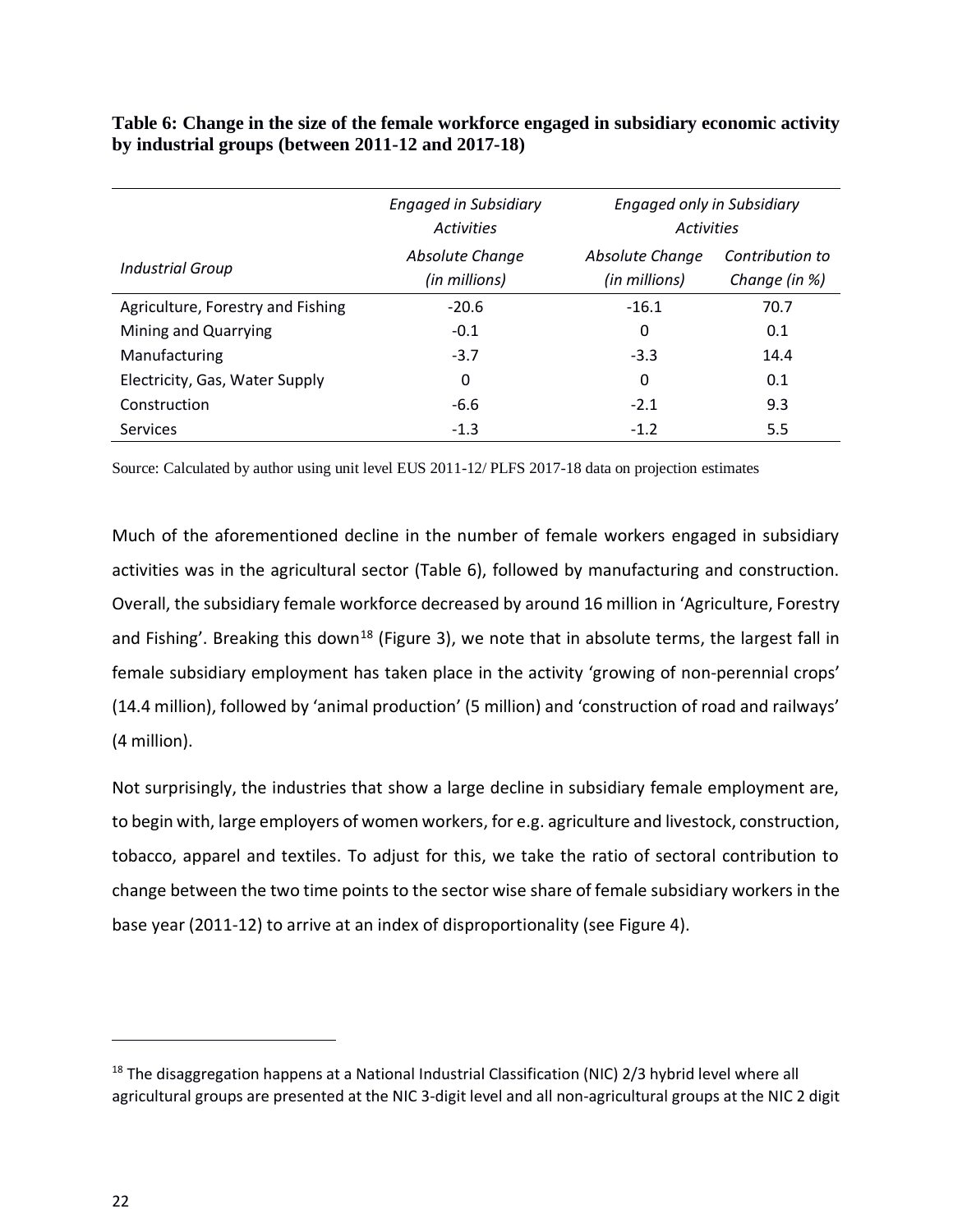**Table 6: Change in the size of the female workforce engaged in subsidiary economic activity by industrial groups (between 2011-12 and 2017-18)**

|                                   | <b>Engaged in Subsidiary</b><br><b>Activities</b> | Engaged only in Subsidiary<br><b>Activities</b> |                                  |  |
|-----------------------------------|---------------------------------------------------|-------------------------------------------------|----------------------------------|--|
| <b>Industrial Group</b>           | Absolute Change<br>(in millions)                  | Absolute Change<br>(in millions)                | Contribution to<br>Change (in %) |  |
| Agriculture, Forestry and Fishing | $-20.6$                                           | $-16.1$                                         | 70.7                             |  |
| Mining and Quarrying              | $-0.1$                                            | 0                                               | 0.1                              |  |
| Manufacturing                     | $-3.7$                                            | $-3.3$                                          | 14.4                             |  |
| Electricity, Gas, Water Supply    | 0                                                 | 0                                               | 0.1                              |  |
| Construction                      | $-6.6$                                            | $-2.1$                                          | 9.3                              |  |
| Services                          | $-1.3$                                            | $-1.2$                                          | 5.5                              |  |

Source: Calculated by author using unit level EUS 2011-12/ PLFS 2017-18 data on projection estimates

Much of the aforementioned decline in the number of female workers engaged in subsidiary activities was in the agricultural sector (Table 6), followed by manufacturing and construction. Overall, the subsidiary female workforce decreased by around 16 million in 'Agriculture, Forestry and Fishing'. Breaking this down<sup>18</sup> (Figure 3), we note that in absolute terms, the largest fall in female subsidiary employment has taken place in the activity 'growing of non-perennial crops' (14.4 million), followed by 'animal production' (5 million) and 'construction of road and railways' (4 million).

Not surprisingly, the industries that show a large decline in subsidiary female employment are, to begin with, large employers of women workers, for e.g. agriculture and livestock, construction, tobacco, apparel and textiles. To adjust for this, we take the ratio of sectoral contribution to change between the two time points to the sector wise share of female subsidiary workers in the base year (2011-12) to arrive at an index of disproportionality (see Figure 4).

 $18$  The disaggregation happens at a National Industrial Classification (NIC) 2/3 hybrid level where all agricultural groups are presented at the NIC 3-digit level and all non-agricultural groups at the NIC 2 digit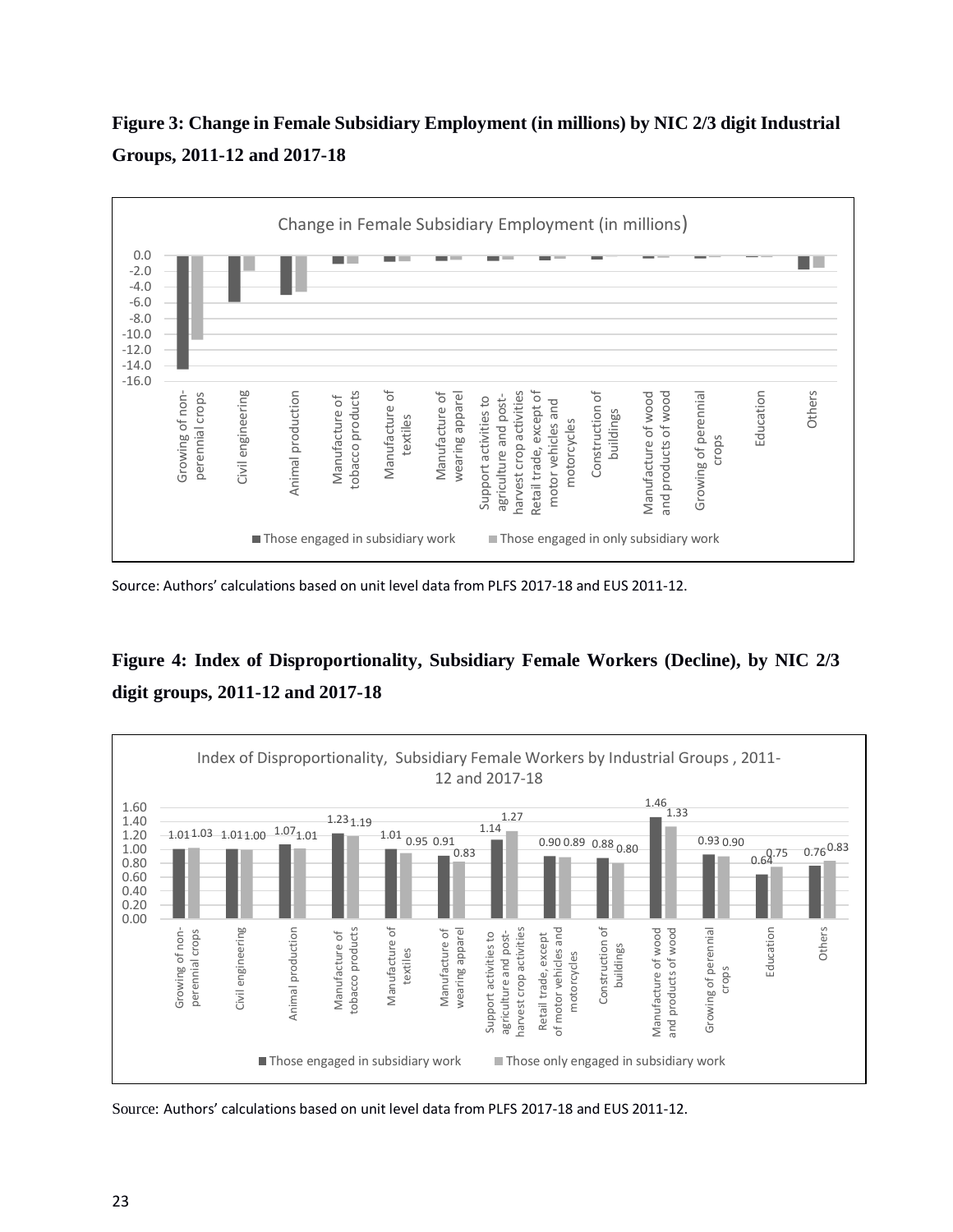### **Figure 3: Change in Female Subsidiary Employment (in millions) by NIC 2/3 digit Industrial Groups, 2011-12 and 2017-18**



Source: Authors' calculations based on unit level data from PLFS 2017-18 and EUS 2011-12.

### **Figure 4: Index of Disproportionality, Subsidiary Female Workers (Decline), by NIC 2/3 digit groups, 2011-12 and 2017-18**



Source: Authors' calculations based on unit level data from PLFS 2017-18 and EUS 2011-12.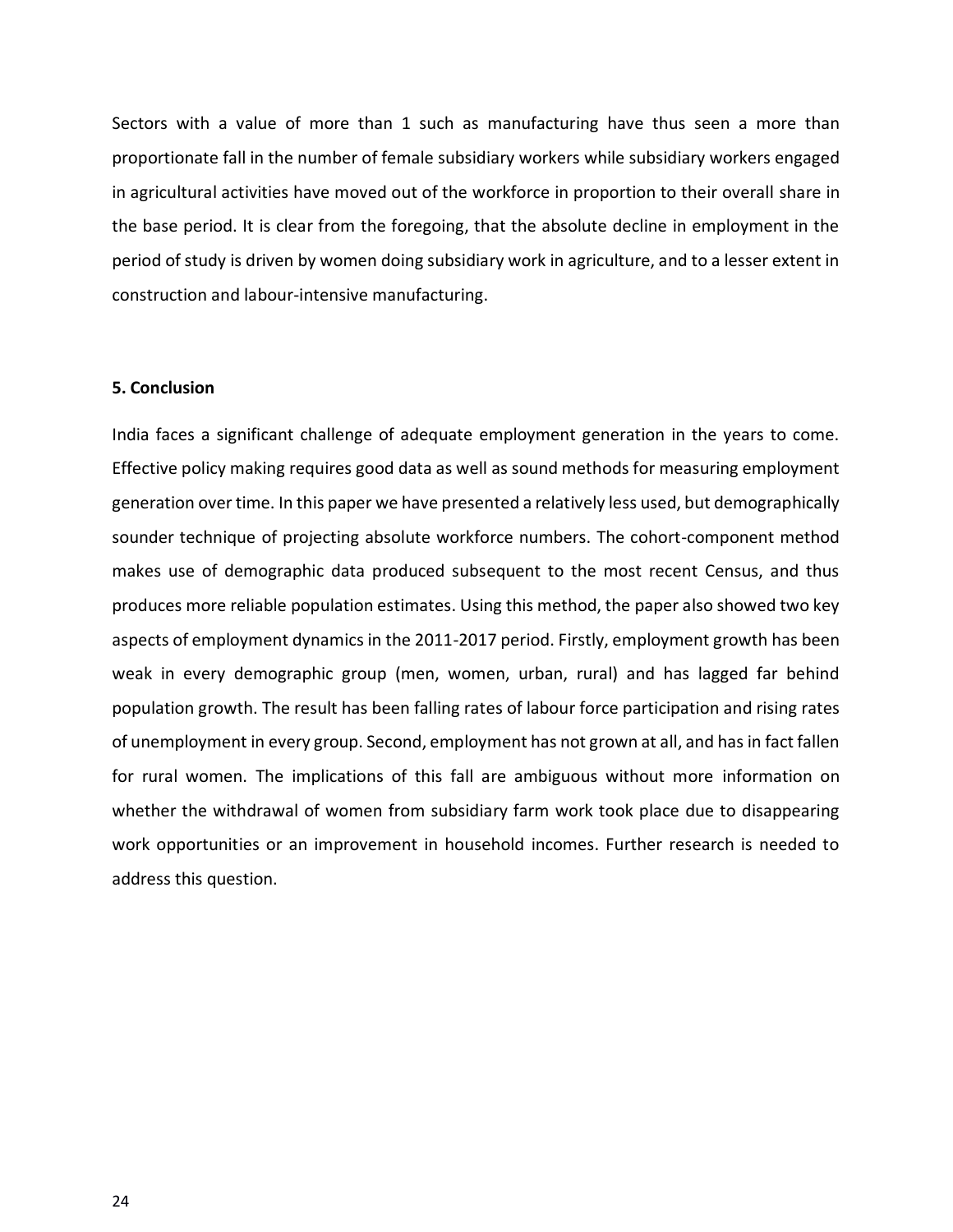Sectors with a value of more than 1 such as manufacturing have thus seen a more than proportionate fall in the number of female subsidiary workers while subsidiary workers engaged in agricultural activities have moved out of the workforce in proportion to their overall share in the base period. It is clear from the foregoing, that the absolute decline in employment in the period of study is driven by women doing subsidiary work in agriculture, and to a lesser extent in construction and labour-intensive manufacturing.

#### **5. Conclusion**

India faces a significant challenge of adequate employment generation in the years to come. Effective policy making requires good data as well as sound methods for measuring employment generation over time. In this paper we have presented a relatively less used, but demographically sounder technique of projecting absolute workforce numbers. The cohort-component method makes use of demographic data produced subsequent to the most recent Census, and thus produces more reliable population estimates. Using this method, the paper also showed two key aspects of employment dynamics in the 2011-2017 period. Firstly, employment growth has been weak in every demographic group (men, women, urban, rural) and has lagged far behind population growth. The result has been falling rates of labour force participation and rising rates of unemployment in every group. Second, employment has not grown at all, and has in fact fallen for rural women. The implications of this fall are ambiguous without more information on whether the withdrawal of women from subsidiary farm work took place due to disappearing work opportunities or an improvement in household incomes. Further research is needed to address this question.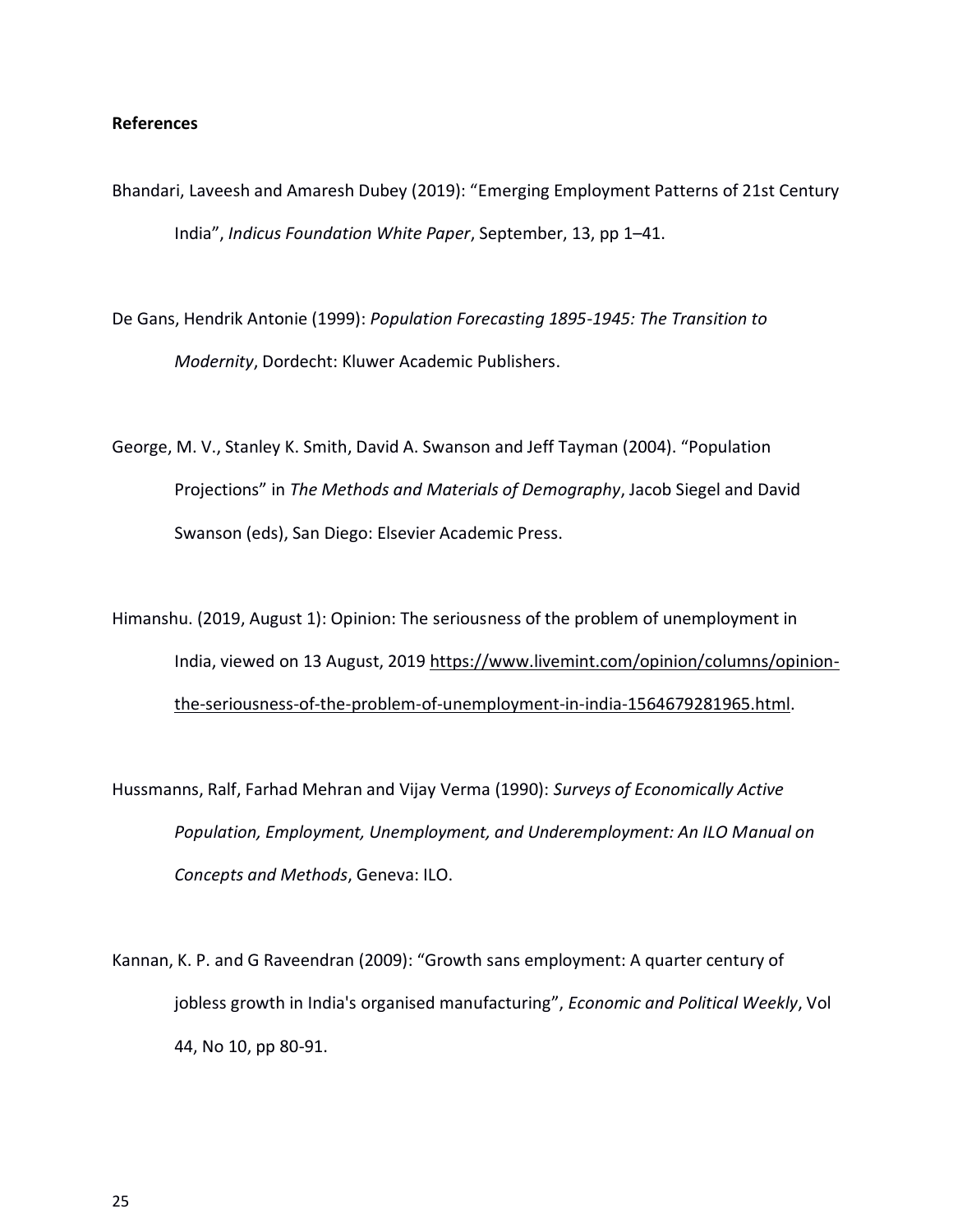#### **References**

- Bhandari, Laveesh and Amaresh Dubey (2019): "Emerging Employment Patterns of 21st Century India", *Indicus Foundation White Paper*, September, 13, pp 1–41.
- De Gans, Hendrik Antonie (1999): *Population Forecasting 1895-1945: The Transition to Modernity*, Dordecht: Kluwer Academic Publishers.
- George, M. V., Stanley K. Smith, David A. Swanson and Jeff Tayman (2004). "Population Projections" in *The Methods and Materials of Demography*, Jacob Siegel and David Swanson (eds), San Diego: Elsevier Academic Press.

Himanshu. (2019, August 1): Opinion: The seriousness of the problem of unemployment in India, viewed on 13 August, 2019 [https://www.livemint.com/opinion/columns/opinion](https://www.livemint.com/opinion/columns/opinion-the-seriousness-of-the-problem-of-unemployment-in-india-1564679281965.html)[the-seriousness-of-the-problem-of-unemployment-in-india-1564679281965.html.](https://www.livemint.com/opinion/columns/opinion-the-seriousness-of-the-problem-of-unemployment-in-india-1564679281965.html)

- Hussmanns, Ralf, Farhad Mehran and Vijay Verma (1990): *Surveys of Economically Active Population, Employment, Unemployment, and Underemployment: An ILO Manual on Concepts and Methods*, Geneva: ILO.
- Kannan, K. P. and G Raveendran (2009): "Growth sans employment: A quarter century of jobless growth in India's organised manufacturing", *Economic and Political Weekly*, Vol 44, No 10, pp 80-91.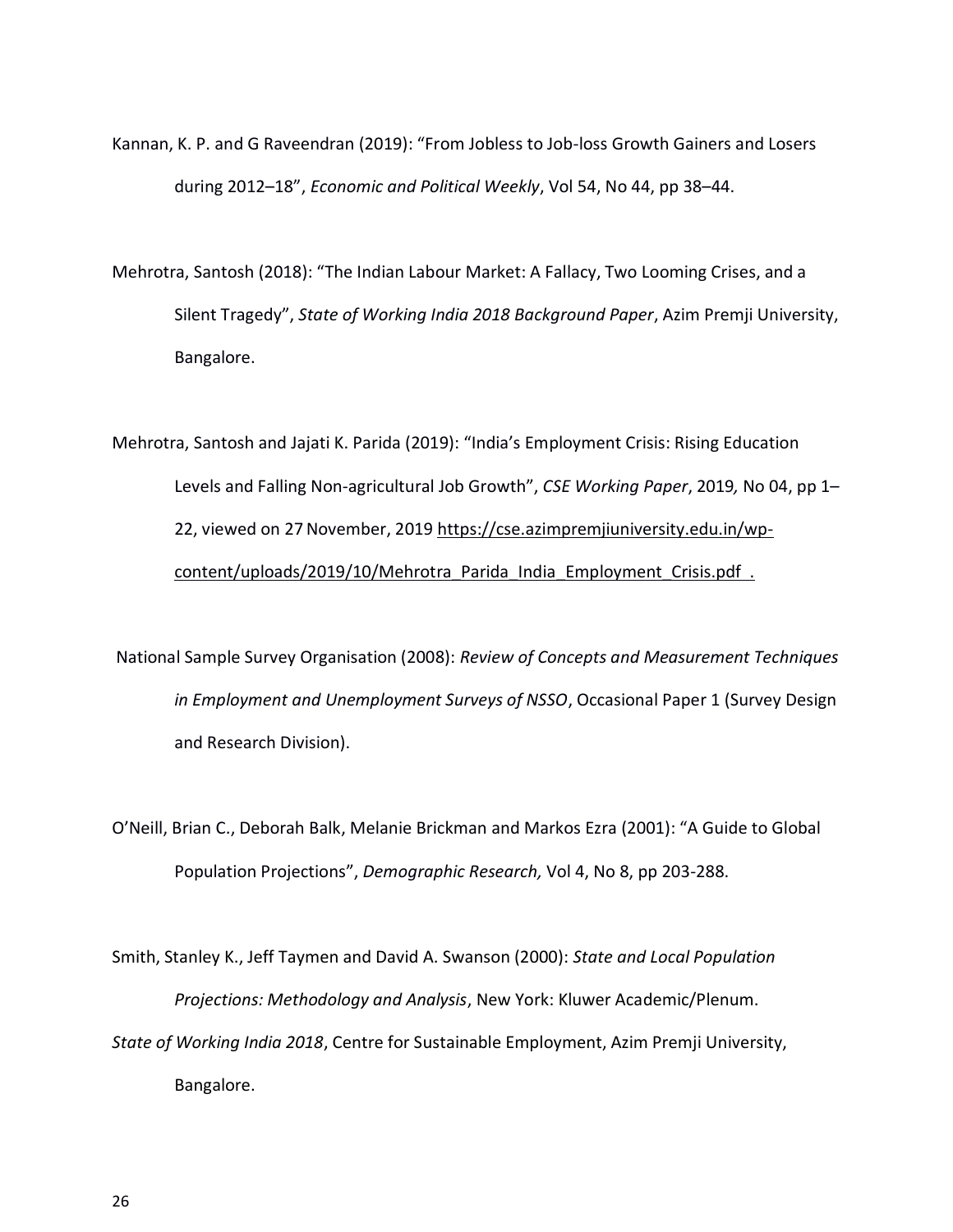- Kannan, K. P. and G Raveendran (2019): "From Jobless to Job-loss Growth Gainers and Losers during 2012–18", *Economic and Political Weekly*, Vol 54, No 44, pp 38–44.
- Mehrotra, Santosh (2018): "The Indian Labour Market: A Fallacy, Two Looming Crises, and a Silent Tragedy", *State of Working India 2018 Background Paper*, Azim Premji University, Bangalore.
- Mehrotra, Santosh and Jajati K. Parida (2019): "India's Employment Crisis: Rising Education Levels and Falling Non-agricultural Job Growth", *CSE Working Paper*, 2019*,* No 04, pp 1– 22, viewed on 27 November, 2019 [https://cse.azimpremjiuniversity.edu.in/wp](https://cse.azimpremjiuniversity.edu.in/wp-content/uploads/2019/10/Mehrotra_Parida_India_Employment_Crisis.pdf)content/uploads/2019/10/Mehrotra Parida India Employment Crisis.pdf .
- National Sample Survey Organisation (2008): *Review of Concepts and Measurement Techniques in Employment and Unemployment Surveys of NSSO*, Occasional Paper 1 (Survey Design and Research Division).
- O'Neill, Brian C., Deborah Balk, Melanie Brickman and Markos Ezra (2001): "A Guide to Global Population Projections", *Demographic Research,* Vol 4, No 8, pp 203-288.

Smith, Stanley K., Jeff Taymen and David A. Swanson (2000): *State and Local Population Projections: Methodology and Analysis*, New York: Kluwer Academic/Plenum. *State of Working India 2018*, Centre for Sustainable Employment, Azim Premji University, Bangalore.